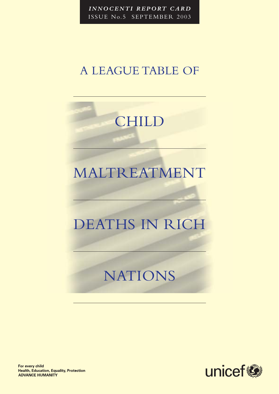*INNOCENTI REPORT CARD* ISSUE No.5 SEPTEMBER 2003

## A LEAGUE TABLE OF

# CHILD

# MALTREATMENT

# DEATHS IN RICH

# NATIONS



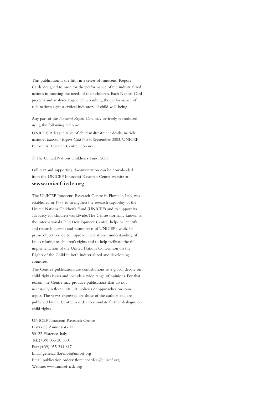This publication is the fifth in a series of Innocenti Report Cards, designed to monitor the performance of the industrialized nations in meeting the needs of their children. Each Report Card presents and analyses league tables ranking the performance of rich nations against critical indicators of child well-being.

Any part of the *Innocenti Report Card* may be freely reproduced using the following reference:

UNICEF,'A league table of child maltreatment deaths in rich nations', *Innocenti Report Card* No.5, September 2003. UNICEF Innocenti Research Centre, Florence.

© The United Nations Children's Fund, 2003

Full text and supporting documentation can be downloaded from the UNICEF Innocenti Research Centre website at: **www.unicef-icdc.org**

The UNICEF Innocenti Research Centre in Florence, Italy, was established in 1988 to strengthen the research capability of the United Nations Children's Fund (UNICEF) and to support its advocacy for children worldwide.The Centre (formally known as the International Child Development Centre) helps to identify and research current and future areas of UNICEF's work. Its prime objectives are to improve international understanding of issues relating to children's rights and to help facilitate the full implementation of the United Nations Convention on the Rights of the Child in both industrialized and developing countries.

The Centre's publications are contributions to a global debate on child rights issues and include a wide range of opinions. For that reason, the Centre may produce publications that do not necessarily reflect UNICEF policies or approaches on some topics.The views expressed are those of the authors and are published by the Centre in order to stimulate further dialogue on child rights.

UNICEF Innocenti Research Centre Piazza SS.Annunziata 12 50122 Florence, Italy Tel: (+39) 055 20 330 Fax: (+39) 055 244 817 Email general: florence@unicef.org Email publication orders: florenceorders@unicef.org Website: www.unicef-icdc.org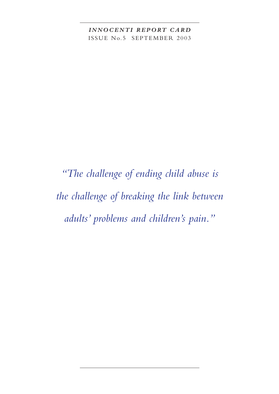*INNOCENTI REPORT CARD* ISSUE No.5 SEPTEMBER 2003

*"The challenge of ending child abuse is the challenge of breaking the link between adults' problems and children's pain."*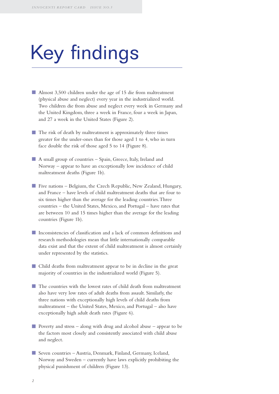# Key findings

- Almost 3,500 children under the age of 15 die from maltreatment (physical abuse and neglect) every year in the industrialized world. Two children die from abuse and neglect every week in Germany and the United Kingdom, three a week in France, four a week in Japan, and 27 a week in the United States (Figure 2).
- **The risk of death by maltreatment is approximately three times** greater for the under-ones than for those aged 1 to 4, who in turn face double the risk of those aged 5 to 14 (Figure 8).
- A small group of countries Spain, Greece, Italy, Ireland and Norway – appear to have an exceptionally low incidence of child maltreatment deaths (Figure 1b).
- Five nations Belgium, the Czech Republic, New Zealand, Hungary, and France – have levels of child maltreatment deaths that are four to six times higher than the average for the leading countries.Three countries – the United States, Mexico, and Portugal – have rates that are between 10 and 15 times higher than the average for the leading countries (Figure 1b).
- Inconsistencies of classification and a lack of common definitions and research methodologies mean that little internationally comparable data exist and that the extent of child maltreatment is almost certainly under represented by the statistics.
- Child deaths from maltreatment appear to be in decline in the great majority of countries in the industrialized world (Figure 5).
- The countries with the lowest rates of child death from maltreatment also have very low rates of adult deaths from assault. Similarly, the three nations with exceptionally high levels of child deaths from maltreatment – the United States, Mexico, and Portugal – also have exceptionally high adult death rates (Figure 6).
- Poverty and stress along with drug and alcohol abuse appear to be the factors most closely and consistently associated with child abuse and neglect.
- Seven countries Austria, Denmark, Finland, Germany, Iceland, Norway and Sweden – currently have laws explicitly prohibiting the physical punishment of children (Figure 13).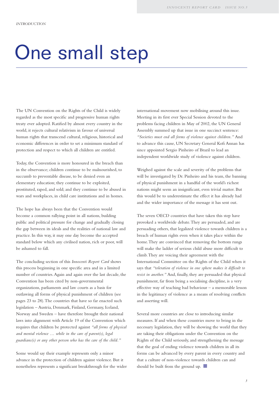# One small step

The UN Convention on the Rights of the Child is widely regarded as the most specific and progressive human rights treaty ever adopted. Ratified by almost every country in the world, it rejects cultural relativism in favour of universal human rights that transcend cultural, religious, historical and economic differences in order to set a minimum standard of protection and respect to which all children are entitled.

Today, the Convention is more honoured in the breach than in the observance; children continue to be malnourished, to succumb to preventable disease, to be denied even an elementary education; they continue to be exploited, prostituted, raped, and sold; and they continue to be abused in wars and workplaces, in child care institutions and in homes.

The hope has always been that the Convention would become a common rallying point in all nations, building public and political pressure for change and gradually closing the gap between its ideals and the realities of national law and practice. In this way, it may one day become the accepted standard below which any civilised nation, rich or poor, will be ashamed to fall.

The concluding section of this *Innocenti Report Card* shows this process beginning in one specific area and in a limited number of countries.Again and again over the last decade, the Convention has been cited by non-governmental organizations, parliaments and law courts as a basis for outlawing all forms of physical punishment of children (see pages 23 to 28).The countries that have so far enacted such legislation – Austria, Denmark, Finland, Germany, Iceland, Norway and Sweden – have therefore brought their national laws into alignment with Article 19 of the Convention which requires that children be protected against *"all forms of physical and mental violence … while in the care of parent(s), legal guardians(s) or any other person who has the care of the child."*

Some would say their example represents only a minor advance in the protection of children against violence. But it nonetheless represents a significant breakthrough for the wider international movement now mobilising around this issue. Meeting in its first ever Special Session devoted to the problems facing children in May of 2002, the UN General Assembly summed up that issue in one succinct sentence: *"Societies must end all forms of violence against children."* And to advance this cause, UN Secretary General Kofi Annan has since appointed Sergio Pinheiro of Brazil to lead an independent worldwide study of violence against children.

Weighed against the scale and severity of the problems that will be investigated by Dr. Pinheiro and his team, the banning of physical punishment in a handful of the world's richest nations might seem an insignificant, even trivial matter. But this would be to underestimate the effect it has already had and the wider importance of the message it has sent out.

The seven OECD countries that have taken this step have provoked a worldwide debate.They are persuaded, and are persuading others, that legalized violence towards children is a breach of human rights even when it takes place within the home.They are convinced that removing the bottom rungs will make the ladder of serious child abuse more difficult to climb.They are voicing their agreement with the International Committee on the Rights of the Child when it says that *"toleration of violence in one sphere makes it difficult to resist in another."* And, finally, they are persuaded that physical punishment, far from being a socialising discipline, is a very effective way of teaching bad behaviour – a memorable lesson in the legitimacy of violence as a means of resolving conflicts and asserting will.

Several more countries are close to introducing similar measures. If and when these countries move to bring in the necessary legislation, they will be showing the world that they are taking their obligations under the Convention on the Rights of the Child seriously, and strengthening the message that the goal of ending violence towards children in all its forms can be advanced by every parent in every country and that a culture of non-violence towards children can and should be built from the ground up.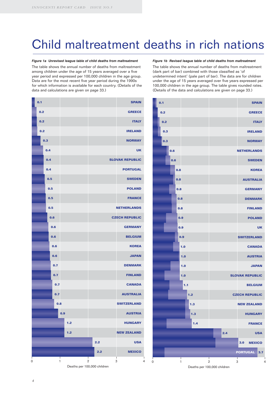# Child maltreatment deaths in rich nations

#### *Figure 1a Unrevised league table of child deaths from maltreatment*

The table shows the annual number of deaths from maltreatment among children under the age of 15 years averaged over a five year period and expressed per 100,000 children in the age group. Data are for the most recent five year period during the 1990s for which information is available for each country. (Details of the data and calculations are given on page 33.)

#### 0 1 2 3 4 **MEXICO USA NEW ZEALAND HUNGARY AUSTRIA SWITZERLAND AUSTRALIA CANADA FINLAND DENMARK JAPAN KOREA BELGIUM GERMANY CZECH REPUBLIC NETHERLANDS FRANCE POLAND SWEDEN PORTUGAL UK NORWAY IRELAND ITALY GREECE SPAIN SLOVAK REPUBLIC 2.2 2.2 1.2 1.2 0.9 0.7 0.7 0.7 0.7 0.6 0.6 0.6 0.6 0.6 0.5 0.5 0.5 0.5 0.4 0.4 0.4 0.3 0.2 0.2 0.2 0.1 0.8**

Deaths per 100,000 children

#### *Figure 1b Revised league table of child deaths from maltreatment*

The table shows the annual number of deaths from maltreatment (dark part of bar) combined with those classified as 'of undetermined intent' (pale part of bar). The data are for children under the age of 15 years averaged over five years expressed per 100,000 children in the age group. The table gives rounded rates. (Details of the data and calculations are given on page 33.)

| 0.1                    |                               | <b>SPAIN</b>           |
|------------------------|-------------------------------|------------------------|
| 0.2                    |                               | <b>GREECE</b>          |
| 0.2                    |                               | <b>ITALY</b>           |
| 0.3                    |                               | <b>IRELAND</b>         |
| 0.3                    |                               | <b>NORWAY</b>          |
| 0.6                    |                               | <b>NETHERLANDS</b>     |
| 0.6                    |                               | <b>SWEDEN</b>          |
| 0.8                    |                               | <b>KOREA</b>           |
| 0.8                    |                               | <b>AUSTRALIA</b>       |
| 0.8                    |                               | <b>GERMANY</b>         |
| 0.8                    |                               | <b>DENMARK</b>         |
| 0.8                    |                               | <b>FINLAND</b>         |
| 0.9                    |                               | <b>POLAND</b>          |
| 0.9                    |                               | <b>UK</b>              |
| 0.9                    |                               | <b>SWITZERLAND</b>     |
| 1.0                    |                               | <b>CANADA</b>          |
| 1.0                    |                               | <b>AUSTRIA</b>         |
| 1.0                    |                               | <b>JAPAN</b>           |
| 1.0                    |                               | <b>SLOVAK REPUBLIC</b> |
| 1.1                    |                               | <b>BELGIUM</b>         |
| 1.2                    |                               | <b>CZECH REPUBLIC</b>  |
| 1.3                    |                               | <b>NEW ZEALAND</b>     |
| 1.3                    |                               | <b>HUNGARY</b>         |
| 1.4                    |                               | <b>FRANCE</b>          |
|                        | 2.4                           | <b>USA</b>             |
|                        |                               | 3.0<br><b>MEXICO</b>   |
|                        |                               | <b>PORTUGAL</b><br>3.7 |
| $\mathsf{I}$<br>0<br>1 | Т<br>Τ<br>$\overline{c}$<br>3 | 4                      |

Deaths per 100,000 children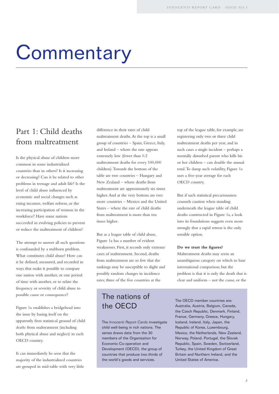# **Commentary**

### Part 1: Child deaths from maltreatment

Is the physical abuse of children more common in some industrialized countries than in others? Is it increasing or decreasing? Can it be related to other problems in teenage and adult life? Is the level of child abuse influenced by economic and social changes such as rising incomes, welfare reform, or the increasing participation of women in the workforce? Have some nations succeeded in evolving policies to prevent or reduce the maltreatment of children?

The attempt to answer all such questions is confounded by a stubborn problem. What constitutes child abuse? How can it be defined, measured, and recorded in ways that make it possible to compare one nation with another, or one period of time with another, or to relate the frequency or severity of child abuse to possible cause or consequence?

Figure 1a establishes a bridgehead into the issue by basing itself on the apparently firm statistical ground of child *deaths* from maltreatment (including both physical abuse and neglect) in each OECD country.

It can immediately be seen that the majority of the industrialized countries are grouped in mid-table with very little

difference in their rates of child maltreatment deaths.At the top is a small group of countries – Spain, Greece, Italy, and Ireland – where the rate appears extremely low (fewer than 0.2 maltreatment deaths for every 100,000 children).Towards the bottom of the table are two countries – Hungary and New Zealand – where deaths from maltreatment are approximately six times higher.And at the very bottom are two more countries – Mexico and the United States – where the rate of child deaths from maltreatment is more than ten times higher.

But as a league table of child abuse, Figure 1a has a number of evident weaknesses. First, it records only extreme cases of maltreatment. Second, deaths from maltreatment are so few that the rankings may be susceptible to slight and possibly random changes in incidence rates; three of the five countries at the

### The nations of the OECD

The *Innocenti Report Cards* investigate child well-being in rich nations. The series draws data from the 30 members of the Organisation for Economic Co-operation and Development (OECD), the group of countries that produce two-thirds of the world's goods and services.

top of the league table, for example, are registering only two or three child maltreatment deaths per year, and in such cases a single incident – perhaps a mentally disturbed parent who kills his or her children – can double the annual total.To damp such volatility, Figure 1a uses a five-year average for each OECD country.

But if such statistical precariousness counsels caution when standing underneath the league table of child deaths constructed in Figure 1a, a look into its foundations suggests even more strongly that a rapid retreat is the only sensible option.

#### **Do we trust the figures?**

Maltreatment deaths may seem an unambiguous category on which to base international comparison; but the problem is that it is only the death that is clear and uniform – not the cause, or the

The OECD member countries are: Australia, Austria, Belgium, Canada, the Czech Republic, Denmark, Finland, France, Germany, Greece, Hungary, Iceland, Ireland, Italy, Japan, the Republic of Korea, Luxembourg, Mexico, the Netherlands, New Zealand, Norway, Poland, Portugal, the Slovak Republic, Spain, Sweden, Switzerland, Turkey, the United Kingdom of Great Britain and Northern Ireland, and the United States of America.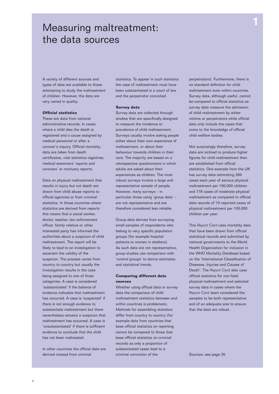### Measuring maltreatment: the data sources

A variety of different sources and types of data are available to those attempting to study the maltreatment of children. However, the data are very varied in quality.

#### **Official statistics**

These are data from national administrative records. In cases where a child dies the death is registered and a cause assigned by medical personnel or after a coroner's inquiry. Official mortality data are taken from death certificates, vital statistics registries, medical examiners' reports and coroners' or mortuary reports.

Data on physical maltreatment that results in injury but not death are drawn from child abuse reports to official agencies or from criminal statistics. In those countries where statistics are derived from reports this means that a social worker, doctor, teacher, law enforcement officer, family relative or other interested party has informed the authorities about a suspicion of child maltreatment. The report will be likely to lead to an investigation to ascertain the validity of the suspicion. The process varies from country to country but usually the investigation results in the case being assigned to one of three categories. A case is considered 'substantiated' if the balance of evidence indicates that maltreatment has occurred. A case is 'suspected' if there is not enough evidence to substantiate maltreatment but there nevertheless remains a suspicion that maltreatment has occurred. A case is 'unsubstantiated' if there is sufficient evidence to conclude that the child has not been maltreated.

In other countries the official data are derived instead from criminal

statistics. To appear in such statistics the case of maltreatment must have been substantiated in a court of law and the perpetrator convicted.

#### **Survey data**

Survey data are collected through studies that are specifically designed to measure the incidence or prevalence of child maltreatment. Surveys usually involve asking people either about their own experience of maltreatment, or about their behaviour towards children in their care. The majority are based on a retrospective questionnaire in which adults are asked about their experiences as children. The most robust surveys involve a large and representative sample of people. However, many surveys – in particular those using 'group data' – are not representative and are therefore considered less reliable.

Group data derives from surveying small samples of respondents who belong to very specific population groups (for example hospital patients or women in shelters). As such data are not representative, group studies use comparison with 'control groups' to derive estimates and statistical trends.

#### **Comparing different data sources**

Whether using official data or survey data the comparison of child maltreatment statistics between and within countries is problematic. Methods for assembling statistics differ from country to country (for example data from countries that base official statistics on reporting cannot be compared to those that base official statistics on criminal records as only a proportion of substantiated cases lead to a criminal conviction of the

perpetrators). Furthermore, there is no standard definition for child maltreatment even within countries. Survey data, although useful, cannot be compared to official statistics as survey data measure the admission of child maltreatment by either victims or perpetrators while official data only include the cases that come to the knowledge of official child welfare bodies.

Not surprisingly therefore, survey data are inclined to produce higher figures for child maltreatment than are established from official statistics. One example from the UK has survey data estimating 389 cases each year of serious physical maltreatment per 100,000 children and 778 cases of moderate physical maltreatment as compared to official data records of 70 reported cases of physical maltreatment per 100,000 children per year.

This *Report Card* uses mortality data that have been drawn from official statistical records and submitted by national governments to the World Health Organization for inclusion in the WHO Mortality Database based on the 'International Classification of Diseases, Injuries and Causes of Death'. The *Report Card* also uses official statistics for non-fatal physical maltreatment and selected survey data in cases where the *Report Card* team considered the samples to be both representative and of an adequate size to ensure that the data are robust.

Sources: see page 35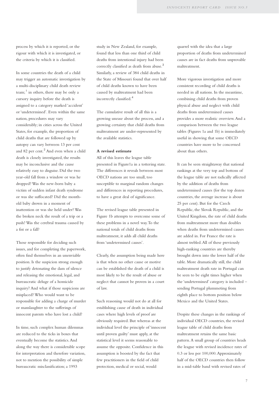process by which it is reported, or the rigour with which it is investigated, or the criteria by which it is classified.

In some countries the death of a child may trigger an automatic investigation by a multi-disciplinary child death review team; $<sup>1</sup>$  in others, there may be only a</sup> cursory inquiry before the death is assigned to a category marked 'accident' or 'undetermined'. Even within the same nation, procedures may vary considerably; in cities across the United States, for example, the proportion of child deaths that are followed up by autopsy can vary between 13 per cent and 82 per cent.<sup>2</sup> And even when a child death is closely investigated, the results may be inconclusive and the cause relatively easy to disguise. Did the two year-old fall from a window or was he dropped? Was the new-born baby a victim of sudden infant death syndrome or was she suffocated? Did the monthold baby drown in a moment of inattention or was she held under? Was the broken neck the result of a trip or a push? Was the cerebral trauma caused by a fist or a fall?

Those responsible for deciding such issues, and for completing the paperwork, often find themselves in an unenviable position. Is the suspicion strong enough to justify detonating the dam of silence and releasing the emotional, legal, and bureaucratic deluge of a homicide inquiry? And what if those suspicions are misplaced? Who would want to be responsible for adding a charge of murder or manslaughter to the sufferings of innocent parents who have lost a child?

In time, such complex human dilemmas are reduced to the ticks in boxes that eventually become the statistics.And along the way there is considerable scope for interpretation and therefore variation, not to mention the possibility of simple bureaucratic misclassification; a 1993

study in New Zealand, for example, found that less than one third of child deaths from intentional injury had been correctly classified as death from abuse.<sup>3</sup> Similarly, a review of 384 child deaths in the State of Missouri found that over half of child deaths known to have been caused by maltreatment had been incorrectly classified.<sup>4</sup>

The cumulative result of all this is a growing unease about the process, and a growing certainty that child deaths from maltreatment are under-represented by the available statistics.

#### **A revised estimate**

All of this leaves the league table presented in Figure1a in a tottering state. The differences it reveals between most OECD nations are too small, too susceptible to marginal random changes and differences in reporting procedures, to have a great deal of significance.

The revised league table presented in Figure 1b attempts to overcome some of these problems in a novel way.To the national totals of child deaths from maltreatment, it adds all child deaths from 'undetermined causes'.

Clearly, the assumption being made here is that when no other cause or motive can be established the death of a child is most likely to be the result of abuse or neglect that cannot be proven in a court of law.

Such reasoning would not do at all for establishing cause of death in individual cases where high levels of proof are obviously required. But whereas at the individual level the principle of 'innocent until proven guilty' must apply, at the statistical level it seems reasonable to assume the opposite. Confidence in this assumption is boosted by the fact that few practitioners in the field of child protection, medical or social, would

quarrel with the idea that a large proportion of deaths from undetermined causes are in fact deaths from unprovable maltreatment.

More vigorous investigation and more consistent recording of child deaths is needed in all nations. In the meantime, combining child deaths from proven physical abuse and neglect with child deaths from undetermined causes provides a more realistic overview.And a comparison between the two league tables (Figures 1a and 1b) is immediately useful in showing that some OECD countries have more to be concerned about than others.

It can be seen straightaway that national rankings at the very top and bottom of the league table are not radically affected by the addition of deaths from undetermined causes (for the top dozen countries, the average increase is about 25 per cent). But for the Czech Republic, the Slovak Republic, and the United Kingdom, the rate of child deaths from maltreatment more than doubles when deaths from undetermined causes are added in. For France the rate is almost trebled.All of these previously high-ranking countries are thereby brought down into the lower half of the table. More dramatically still, the child maltreatment death rate in Portugal can be seen to be eight times higher when the 'undetermined' category is included – sending Portugal plummeting from eighth place to bottom position below Mexico and the United States.

Despite these changes in the rankings of individual OECD countries, the revised league table of child deaths from maltreatment retains the same basic pattern.A small group of countries heads the league with revised incidence rates of 0.3 or less per 100,000.Approximately half of the OECD countries then follow in a mid-table band with revised rates of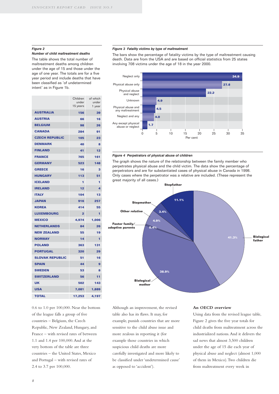#### *Figure 2*

#### *Number of child maltreatment deaths*

The table shows the total number of maltreatment deaths among children under the age of 15 and those under the age of one year. The totals are for a five year period and include deaths that have been classified as 'of undetermined intent' as in Figure 1b.

|                        | Children<br>under<br>15 years | of which<br>under<br>1 year |
|------------------------|-------------------------------|-----------------------------|
| <b>AUSTRALIA</b>       | 156                           | 39                          |
| <b>AUSTRIA</b>         | 66                            | 16                          |
| <b>BELGIUM</b>         | 98                            | 26                          |
| <b>CANADA</b>          | 284                           | 91                          |
| <b>CZECH REPUBLIC</b>  | 105                           | 23                          |
| <b>DENMARK</b>         | 40                            | 8                           |
| <b>FINLAND</b>         | 41                            | 12                          |
| <b>FRANCE</b>          | 765                           | 161                         |
| <b>GERMANY</b>         | 523                           | 148                         |
| <b>GREECE</b>          | 16                            | з                           |
| <b>HUNGARY</b>         | 113                           | 51                          |
| <b>ICELAND</b>         | 1                             | 1                           |
| <b>IRELAND</b>         | 12                            | 4                           |
| <b>ITALY</b>           | 104                           | 13                          |
| <b>JAPAN</b>           | 916                           | 257                         |
| <b>KOREA</b>           | 414                           | 55                          |
| <b>LUXEMBOURG</b>      | 2                             | 1                           |
| <b>MEXICO</b>          | 4,974                         | 1,006                       |
| <b>NETHERLANDS</b>     | 84                            | 26                          |
| <b>NEW ZEALAND</b>     | 55                            | 19                          |
| <b>NORWAY</b>          | 14                            | 1                           |
| <b>POLAND</b>          | 363                           | 131                         |
| <b>PORTUGAL</b>        | 320                           | 29                          |
| <b>SLOVAK REPUBLIC</b> | 51                            | 16                          |
| <b>SPAIN</b>           | 44                            | 9                           |
| <b>SWEDEN</b>          | 53                            | 8                           |
| <b>SWITZERLAND</b>     | 56                            | 11                          |
| <b>UK</b>              | 502                           | 143                         |
| <b>USA</b>             | 7,081                         | 1.889                       |
| <b>TOTAL</b>           | 17.253                        | 4,197                       |

0.6 to 1.0 per 100,000. Near the bottom of the league falls a group of five countries – Belgium, the Czech Republic, New Zealand, Hungary, and France – with revised rates of between 1.1 and 1.4 per 100,000.And at the very bottom of the table are three countries – the United States, Mexico and Portugal – with revised rates of 2.4 to 3.7 per 100,000.

#### *Figure 3 Fatality victims by type of maltreatment*

The bars show the percentage of fatality victims by the type of maltreatment causing death. Data are from the USA and are based on official statistics from 25 states involving 708 victims under the age of 18 in the year 2000.



#### *Figure 4 Perpetrators of physical abuse of children*

The graph shows the nature of the relationship between the family member who perpetrates physical abuse and the child victim. The data show the percentage of perpetrators and are for substantiated cases of physical abuse in Canada in 1998. Only cases where the perpetrator was a relative are included. (These represent the great majority of all cases.)



Although an improvement, the revised table also has its flaws. It may, for example, punish countries that are more sensitive to the child abuse issue and more zealous in reporting it (for example those countries in which suspicious child deaths are more carefully investigated and more likely to be classified under 'undetermined cause' as opposed to 'accident').

#### **An OECD overview**

Using data from the revised league table, Figure 2 gives the five year totals for child deaths from maltreatment across the industrialized nations.And it delivers the sad news that almost 3,500 children under the age of 15 die each year of physical abuse and neglect (almost 1,000 of them in Mexico).Two children die from maltreatment every week in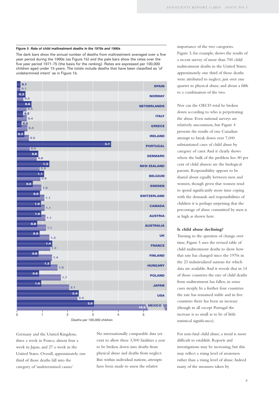#### *Figure 5 Rate of child maltreatment deaths in the 1970s and 1990s*

The dark bars show the annual number of deaths from maltreatment averaged over a five year period during the 1990s (as Figure 1b) and the pale bars show the rates over the five year period 1971-75 (the basis for the ranking). Rates are expressed per 100,000 children aged under 15 years. The totals include deaths that have been classified as 'of undetermined intent' as in Figure 1b.



Deaths per 100,000 children

Germany and the United Kingdom, three a week in France, almost four a week in Japan, and 27 a week in the United States. Overall, approximately one third of those deaths fall into the category of 'undetermined causes'.

No internationally comparable data yet exist to allow these 3,500 fatalities a year to be broken down into deaths from physical abuse and deaths from neglect. But within individual nations, attempts have been made to assess the relative

importance of the two categories. Figure 3, for example, shows the results of a recent survey of more than 700 child maltreatment deaths in the United States; approximately one third of those deaths were attributed to neglect, just over one quarter to physical abuse, and about a fifth to a combination of the two.

Nor can the OECD total be broken down according to who is perpetrating the abuse. Even national surveys are relatively uncommon, but Figure 4 presents the results of one Canadian attempt to break down over 7,000 substantiated cases of child abuse by category of carer.And it clearly shows where the bulk of the problem lies: 80 per cent of child abusers are the biological parents. Responsibility appears to be shared about equally between men and women, though given that women tend to spend significantly more time coping with the demands and responsibilities of children it is perhaps surprising that the percentage of abuse committed by men is as high as shown here.

#### **Is child abuse declining?**

Turning to the question of change over time, Figure 5 uses the revised table of child maltreatment deaths to show how that rate has changed since the 1970s in the 23 industrialized nations for which data are available.And it reveals that in 14 of those countries the rate of child deaths from maltreatment has fallen, in some cases steeply. In a further four countries the rate has remained stable and in five countries there has been an increase (though in all except Portugal the increase is so small as to be of little statistical significance).

For non-fatal child abuse, a trend is more difficult to establish. Reports and investigations may be increasing, but this may reflect a rising level of awareness rather than a rising level of abuse. Indeed many of the measures taken by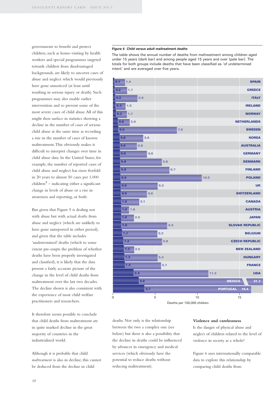governments to benefit and protect children, such as home-visiting by health workers and special programmes targeted towards children from disadvantaged backgrounds, are likely to uncover cases of abuse and neglect which would previously have gone unnoticed (at least until resulting in serious injury or death). Such programmes may also enable earlier intervention and so prevent some of the most severe cases of child abuse.All of this might then surface in statistics showing a decline in the number of cases of serious child abuse at the same time as recording a rise in the number of cases of known maltreatment.This obviously makes it difficult to interpret changes over time in child abuse data. In the United States, for example, the number of reported cases of child abuse and neglect has risen fivefold in 20 years to almost 50 cases per 1,000  $children<sup>5</sup> - indicating either a significant$ change in levels of abuse or a rise in awareness and reporting, or both.

But given that Figure 5 is dealing not with abuse but with actual *deaths* from abuse and neglect (which are unlikely to have gone unreported in either period), and given that the table includes 'undetermined' deaths (which to some extent pre-empts the problem of whether deaths have been properly investigated and classified), it is likely that the data present a fairly accurate picture of the change in the level of child deaths from maltreatment over the last two decades. The decline shown is also consistent with the experience of most child welfare practitioners and researchers.

It therefore seems possible to conclude that child deaths from maltreatment are in quite marked decline in the great majority of countries in the industrialized world.

Although it is probable that child *maltreatment* is also in decline, this cannot be deduced from the decline in child

#### *Figure 6 Child versus adult maltreatment deaths*

The table shows the annual number of deaths from maltreatment among children aged under 15 years (dark bar) and among people aged 15 years and over (pale bar). The totals for both groups include deaths that have been classified as 'of undetermined intent' and are averaged over five years.



deaths. Not only is the relationship between the two a complex one (see below) but there is also a possibility that the decline in deaths could be influenced by advances in emergency and medical services (which obviously have the potential to reduce deaths without reducing maltreatment).

#### **Violence and carelessness**

Is the danger of physical abuse and neglect of children related to the level of violence in society as a whole?

Figure 6 uses internationally comparable data to explore this relationship by comparing child deaths from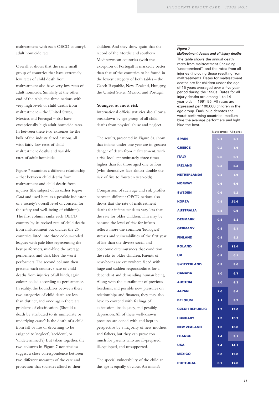maltreatment with each OECD country's adult homicide rate.

Overall, it shows that the same small group of countries that have extremely low rates of child death from maltreatment also have very low rates of adult homicide. Similarly at the other end of the table, the three nations with very high levels of child deaths from maltreatment – the United States, Mexico, and Portugal – also have exceptionally high adult homicide rates. In between these two extremes lie the bulk of the industrialized nations, all with fairly low rates of child maltreatment deaths and variable rates of adult homicide.

Figure 7 examines a different relationship – that between child deaths from maltreatment and child deaths from injuries (the subject of an earlier *Report Card* and used here as a possible indicator of a society's overall level of concern for the safety and well-being of children). The first column ranks each OECD country by its revised rate of child deaths from maltreatment but divides the 26 countries listed into three colour-coded leagues with pale blue representing the best performers, mid-blue the average performers, and dark blue the worst performers.The second column then presents each country's rate of child deaths from injuries of all kinds, again colour-coded according to performance. In reality, the boundaries between these two categories of child death are less than distinct, and once again there are problems of classification. (Should a death be attributed to its immediate or underlying cause? Is the death of a child from fall or fire or drowning to be assigned to 'neglect','accident', or 'undetermined'?) But taken together, the two columns in Figure 7 nonetheless suggest a close correspondence between two different measures of the care and protection that societies afford to their

children.And they show again that the record of the Nordic and southern Mediterranean countries (with the exception of Portugal) is markedly better than that of the countries to be found in the lowest category of both tables – the Czech Republic, New Zealand, Hungary, the United States, Mexico, and Portugal.

#### **Youngest at most risk**

International official statistics also allow a breakdown by age group of all child deaths from physical abuse and neglect.

The results, presented in Figure 8a, show that infants under one year are in greatest danger of death from maltreatment, with a risk level approximately three times higher than for those aged one to four (who themselves face almost double the risk of five to fourteen year-olds).

Comparison of such age and risk profiles between different OECD nations also shows that the rate of maltreatment deaths for infants tends to vary less than the rate for older children.This may be because the level of risk for infants reflects more the common 'biological' stresses and vulnerabilities of the first year of life than the diverse social and economic circumstances that condition the risks to older children. Parents of new-borns are everywhere faced with huge and sudden responsibilities for a dependent and demanding human being. Along with the curtailment of previous freedoms, and possible new pressures on relationships and finances, they may also have to contend with feelings of exhaustion, inadequacy, and possibly depression.All of these well-known pressures are coped with and kept in perspective by a majority of new mothers and fathers, but they can prove too much for parents who are ill-prepared, ill-equipped, and unsupported.

The special vulnerability of the child at this age is equally obvious.An infant's

#### *Figure 7*

#### *Maltreatment deaths and all injury deaths*

The table shows the annual death rates from maltreatment (including 'undetermined') and the rates from all injuries (including those resulting from maltreatment). Rates for maltreatment deaths are for children under the age of 15 years averaged over a five year period during the 1990s. Rates for all injury deaths are among 1 to 14 year-olds in 1991-95. All rates are expressed per 100,000 children in the age group. Dark blue denotes the worst performing countries, medium blue the average performers and light blue the best.

|                       | Maltreatment All injuries |      |
|-----------------------|---------------------------|------|
| <b>SPAIN</b>          | $0.1 -$                   | 8.1  |
| <b>GREECE</b>         | 0.2                       | 7.6  |
| <b>ITALY</b>          | 0.2                       | 6.1  |
| <b>IRELAND</b>        | 0.3                       | 8.3  |
| <b>NETHERLANDS</b>    | 0.3                       | 7.6  |
| <b>NORWAY</b>         | 0.6                       | 6.6  |
| <b>SWEDEN</b>         | 0.6                       | 5.2  |
| <b>KOREA</b>          | 0.8                       | 25.6 |
| <b>AUSTRALIA</b>      | 0.8                       | 9.5  |
| <b>DENMARK</b>        | 0.8                       | 8.3  |
| <b>GERMANY</b>        | 0.8                       | 8.1  |
| <b>FINLAND</b>        | 0.8                       | 8.2  |
| <b>POLAND</b>         | 0.9                       | 13.4 |
| <b>UK</b>             | 0.9                       | 6.1  |
| <b>SWITZERLAND</b>    | 0.9                       | 9.6  |
| <b>CANADA</b>         | 1.0                       | 9.7  |
| <b>AUSTRIA</b>        | 1.0                       | 9.3  |
| <b>JAPAN</b>          | 1.0                       | 8.4  |
| <b>BELGIUM</b>        | 1.1                       | 9.2  |
| <b>CZECH REPUBLIC</b> | 1.2                       | 12.0 |
| <b>HUNGARY</b>        | 1.3                       | 13.7 |
| <b>NEW ZEALAND</b>    | 1.3                       | 10.8 |
| <b>FRANCE</b>         | 1.4                       | 9.1  |
| <b>USA</b>            | 2.4                       | 14.1 |
| <b>MEXICO</b>         | 3.0 <sub>1</sub>          | 19.8 |
| <b>PORTUGAL</b>       | 3.7                       | 17.8 |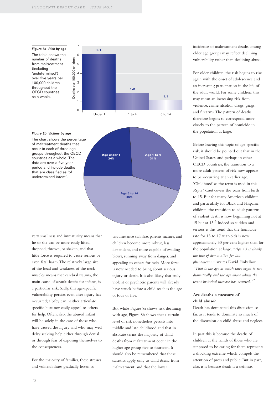#### *Figure 8a Risk by age*

The table shows the number of deaths from maltreatment (including 'undetermined') over five years per 100,000 children throughout the OECD countries as a whole.



#### *Figure 8b Victims by age*

The chart shows the percentage of maltreatment deaths that occur in each of three age groups throughout the OECD countries as a whole. The data are over a five year period and include deaths that are classified as 'of undetermined intent'.



very smallness and immaturity means that he or she can be more easily lifted, dropped, thrown, or shaken, and that little force is required to cause serious or even fatal harm.The relatively large size of the head and weakness of the neck muscles means that cerebral trauma, the main cause of assault deaths for infants, is a particular risk. Sadly, this age-specific vulnerability persists even after injury has occurred; a baby can neither articulate specific hurt nor easily appeal to others for help. Often, also, the abused infant will be solely in the care of those who have caused the injury and who may well delay seeking help either through denial or through fear of exposing themselves to the consequences.

For the majority of families, these stresses and vulnerabilities gradually lessen as

circumstance stabilise, parents mature, and children become more robust, less dependent, and more capable of evading blows, running away from danger, and appealing to others for help. More force is now needed to bring about serious injury or death. It is also likely that truly violent or psychotic parents will already have struck before a child reaches the age of four or five.

But while Figure 8a shows risk declining with age, Figure 8b shows that a certain level of risk nonetheless persists into middle and late childhood and that in absolute terms the majority of child deaths from maltreatment occur in the higher age group five to fourteen. It should also be remembered that these statistics apply only to child *deaths* from maltreatment, and that the lower

incidence of maltreatment deaths among older age groups may reflect declining vulnerability rather than declining abuse.

For older children, the risk begins to rise again with the onset of adolescence and an increasing participation in the life of the adult world. For some children, this may mean an increasing risk from violence, crime, alcohol, drugs, gangs, and firearms.The pattern of deaths therefore begins to correspond more closely to the pattern of homicide in the population at large.

Before leaving this topic of age-specific risk, it should be pointed out that in the United States, and perhaps in other OECD countries, the transition to a more adult pattern of risk now appears to be occurring at an earlier age. 'Childhood' as the term is used in this *Report Card* covers the years from birth to 15. But for many American children, and particularly for Black and Hispanic children, the transition to adult patterns of violent death is now beginning not at 15 but at 13.<sup>6</sup> Indeed so sudden and serious is this trend that the homicide rate for 13 to 17 year-olds is now approximately 50 per cent higher than for the population at large. *"Age 13 is clearly the line of demarcation for this phenomenon,"* writes David Finkelhor. *"That is the age at which rates begin to rise dramatically and the age above which the recent historical increase has occurred."*<sup>7</sup>

#### **Are deaths a measure of child abuse?**

Death has dominated this discussion so far, as it tends to dominate so much of the discussion on child abuse and neglect.

In part this is because the deaths of children at the hands of those who are supposed to be caring for them represents a shocking extreme which compels the attention of press and public. But in part, also, it is because death is a definite,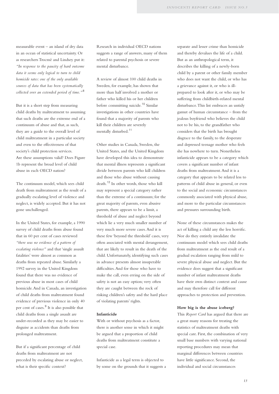measurable event – an island of dry data in an ocean of statistical uncertainty. Or as researchers Trocmé and Lindsey put it: *"In response to the paucity of hard outcome data it seems only logical to turn to child homicide rates: one of the only available sources of data that has been systematically collected over an extended period of time."* <sup>8</sup>

But it is a short step from measuring child deaths by maltreatment to assuming that such deaths are the extreme end of a continuum of abuse and that, as such, they are a guide to the overall level of child maltreatment in a particular society and even to the effectiveness of that society's child protection services. Are these assumptions valid? Does Figure 1b represent the broad level of child abuse in each OECD nation?

The continuum model, which sees child death from maltreatment as the result of a gradually escalating level of violence and neglect, is widely accepted. But it has not gone unchallenged.

In the United States, for example, a 1990 survey of child deaths from abuse found that in 60 per cent of cases reviewed *"there was no evidence of a pattern of escalating violence"* and that 'single assault fatalities' were almost as common as deaths from repeated abuse. Similarly a 1992 survey in the United Kingdom found that there was no evidence of previous abuse in most cases of child homicide.And in Canada, an investigation of child deaths from maltreatment found evidence of previous violence in only 40 per cent of cases.<sup>9</sup> It is also possible that child deaths from a single assault are under-recorded as they may be easier to disguise as accidents than deaths from prolonged maltreatment.

But if a significant percentage of child deaths from maltreatment are not preceded by escalating abuse or neglect, what is their specific context?

Research in individual OECD nations suggests a range of answers, many of them related to parental psychosis or severe mental disturbance.

A review of almost 100 child deaths in Sweden, for example, has shown that more than half involved a mother or father who killed his or her children before committing suicide.<sup>10</sup> Similar investigations in other countries have found that a majority of parents who kill their children are severely mentally disturbed.<sup>11</sup>

Other studies in Canada, Sweden, the United States, and the United Kingdom have developed this idea to demonstrate that mental illness represents a significant divide between parents who kill children and those who abuse without causing death.<sup>12</sup> In other words, those who kill may represent a special category rather than the extreme of a continuum; for the great majority of parents, even abusive parents, there appears to be a limit, a threshold of abuse and neglect beyond which lie a very much smaller number of very much more severe cases.And it is these few 'beyond the threshold' cases, very often associated with mental derangement, that are likely to result in the death of the child. Unfortunately, identifying such cases in advance presents almost insuperable difficulties.And for those who have to make the call, even erring on the side of safety is not an easy option; very often they are caught between the rock of risking children's safety and the hard place of violating parents' rights.

#### **Infanticide**

With or without psychosis as a factor, there is another sense in which it might be argued that a proportion of child deaths from maltreatment constitute a special case.

Infanticide as a legal term is objected to by some on the grounds that it suggests a

separate and lesser crime than homicide and thereby devalues the life of a child. But as an anthropological term, it describes the killing of a newly-born child by a parent or other family member who does not want the child, or who has a grievance against it, or who is illprepared to look after it, or who may be suffering from childbirth-related mental disturbance.This list embraces an untidy gamut of human circumstance – from the jealous boyfriend who believes the child not to be his, to the grandfather who considers that the birth has brought disgrace to the family, to the desperate and depressed teenage mother who feels she has nowhere to turn. Nonetheless infanticide appears to be a category which covers a significant number of infant deaths from maltreatment.And it is a category that appears to be related less to patterns of child abuse in general, or even to the social and economic circumstances commonly associated with physical abuse, and more to the particular circumstances and pressures surrounding birth.

None of these circumstances makes the act of killing a child any the less horrific. Nor do they entirely invalidate the continuum model which sees child deaths from maltreatment as the end result of a gradual escalation ranging from mild to severe physical abuse and neglect. But the evidence does suggest that a significant number of infant maltreatment deaths have their own distinct context and cause and may therefore call for different approaches to protection and prevention.

#### **How big is the abuse iceberg?**

This *Report Card* has argued that there are a great many reasons for treating the statistics of maltreatment deaths with special care. First, the combination of very small base numbers with varying national reporting procedures may mean that marginal differences between countries have little significance. Second, the individual and social circumstances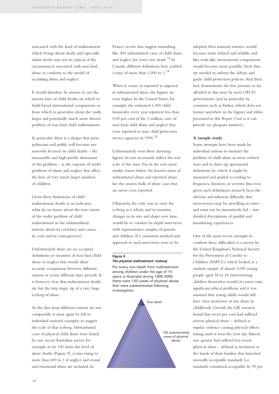associated with the kind of maltreatment which brings about death, and especially infant death, may not be typical of the circumstances associated with non-fatal abuse or conform to the model of escalating abuse and neglect.

It would therefore be unwise to use the narrow base of child deaths on which to build broad international comparisons or from which to generalise about the vastly larger and potentially much more diverse problem of non-fatal child maltreatment.

In particular, there is a danger that press, politicians and public will become too narrowly focused on child deaths – the measurable and high-profile dimension of the problem – at the expense of wider problems of abuse and neglect that affect the lives of very much larger numbers of children.

Given these limitations of child maltreatment deaths as an indicator, what do we know about the true extent of the wider problem of child maltreatment in the industrialized nations, about its correlates and causes, its costs and its consequences?

Unfortunately there are no accepted definitions or measures of non-fatal child abuse or neglect that would allow accurate comparison between different nations or across different time periods. It is however clear that maltreatment deaths are but the tiny, tragic tip of a very large iceberg of abuse.

As the data from different nations are not comparable, it must again be left to individual national examples to suggest the scale of that iceberg. Substantiated cases of physical child abuse were found by one recent Australian survey, for example, to be 150 times the level of abuse deaths (Figure 9), a ratio rising to more than 600 to 1 if neglect and sexual and emotional abuse are included. In

France, recent data suggest something like 300 substantiated cases of child abuse and neglect for every one death.<sup>13</sup> In Canada, different definitions have yielded a ratio of more than 1,000 to 1.<sup>14</sup>

When it comes to reported as opposed to substantiated abuse, the figures are even higher. In the United States, for example, the estimated 1,400 child homicides every year represent less than 0.05 per cent of the 3 million cases of non-fatal child abuse and neglect that were reported to state child protection service agencies in 1996.<sup>15</sup>

Unfortunately even these alarming figures do not necessarily reflect the real scale of the issue. For in the ever more murky waters below the known strata of substantiated abuse and reported abuse lies the unseen bulk of abuse cases that are never even reported.

Ultimately, the only way to view the iceberg as a whole, and to monitor changes in its size and shape over time, would be to conduct in-depth interviews with representative samples of parents and children. If a consistent method and approach to such interviews were to be

#### *Figure 9 The physical maltreatment 'iceberg'*

For every one death from maltreatment among children under the age of 15 years in Australia during 1999-2000 there were 150 cases of physical abuse that were substantiated following investigation.



adopted, then national statistics would become more refined and reliable, and like-with-like international comparisons would become more possible. Such data are needed to inform the debate and guide child protection policies.And their lack demonstrates the low priority so far afforded to this issue by most OECD governments (and in particular by countries such as Turkey which does not feature anywhere in the figures and tables presented in this *Report Card* as it can provide no adequate statistics).

#### **A sample study**

Some attempts have been made by individual nations to measure the problem of child abuse in more refined ways and to draw up operational definitions by which it might be measured and graded according to frequency, duration, or severity. But even given such definitions, research faces the obvious and inherent difficulty that interviewees may be unwilling to enter – and must not be insensitively led – into detailed descriptions of painful and humiliating experiences.

One of the most recent attempts to confront these difficulties is a survey by the United Kingdom's National Society for the Prevention of Cruelty to Children (NSPCC) which looked at a random sample of almost 3,000 young people aged 18 to 24 (interviewing children themselves would of course raise significant ethical problems and it was assumed that young adults would still have clear memories of any abuse in childhood). Overall, the UK research found that seven per cent had suffered serious physical abuse – defined as regular violence causing physical effects lasting until at least the next day.Almost one quarter had suffered less severe physical abuse – defined as treatment at the hands of their families that breached normally acceptable standards (i.e. standards considered acceptable by 90 per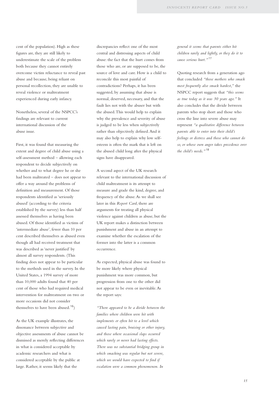cent of the population). High as these figures are, they are still likely to underestimate the scale of the problem both because they cannot entirely overcome victim reluctance to reveal past abuse and because, being reliant on personal recollection, they are unable to reveal violence or maltreatment experienced during early infancy.

Nonetheless, several of the NSPCC's findings are relevant to current international discussion of the abuse issue.

First, it was found that measuring the extent and degree of child abuse using a self-assessment method – allowing each respondent to decide subjectively on whether and to what degree he or she had been maltreated – does not appear to offer a way around the problems of definition and measurement. Of those respondents identified as 'seriously abused' (according to the criteria established by the survey) less than half assessed themselves as having been abused. Of those identified as victims of 'intermediate abuse', fewer than 10 per cent described themselves as abused even though all had received treatment that was described as 'never justified' by almost all survey respondents. (This finding does not appear to be particular to the methods used in the survey. In the United States, a 1994 survey of more than 10,000 adults found that 40 per cent of those who had required medical intervention for maltreatment on two or more occasions did not consider themselves to have been abused.<sup>16</sup>)

As the UK example illustrates, the dissonance between subjective and objective assessments of abuse cannot be dismissed as merely reflecting differences in what is considered acceptable by academic researchers and what is considered acceptable by the public at large. Rather, it seems likely that the

discrepancies reflect one of the most central and distressing aspects of child abuse: the fact that the hurt comes from those who are, or are supposed to be, the source of love and care. How is a child to reconcile this most painful of contradictions? Perhaps, it has been suggested, by assuming that abuse is normal, deserved, necessary, and that the fault lies not with the abuser but with the abused.This would help to explain why the prevalence and severity of abuse is judged to be less when subjectively rather than objectively defined.And it may also help to explain why low selfesteem is often the mark that is left on the abused child long after the physical signs have disappeared.

A second aspect of the UK research relevant to the international discussion of child maltreatment is its attempt to measure and grade the kind, degree, and frequency of the abuse.As we shall see later in this *Report Card*, there are arguments for treating all physical violence against children as abuse, but the UK report makes a distinction between punishment and abuse in an attempt to examine whether the escalation of the former into the latter is a common occurrence.

As expected, physical abuse was found to be more likely where physical punishment was more common, but progression from one to the other did not appear to be even or inevitable.As the report says:

*"There appeared to be a divide between the families where children were hit with implements or often hit to a level which caused lasting pain, bruising or other injury, and those where occasional slaps occurred which rarely or never had lasting effects. There was no substantial bridging group in which smacking was regular but not severe, which we would have expected to find if escalation were a common phenomenon. In*

*general it seems that parents either hit children rarely and lightly, or they do it to cause serious hurt."* <sup>17</sup>

Quoting research from a generation ago that concluded *"those mothers who smack most frequently also smack hardest,"* the NSPCC report suggests that *"this seems as true today as it was 30 years ago."* It also concludes that the divide between parents who stop short and those who cross the line into severe abuse may represent *"a qualitative difference between parents able to enter into their child's feelings or distress and those who cannot do so, or whose own anger takes precedence over the child's needs."* <sup>18</sup>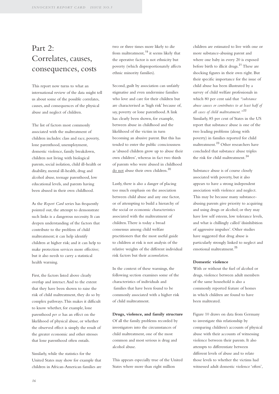### Part 2: Correlates, causes, consequences, costs

This report now turns to what an international review of the data might tell us about some of the possible correlates, causes, and consequences of the physical abuse and neglect of children.

The list of factors most commonly associated with the maltreatment of children includes: class and race, poverty, lone parenthood, unemployment, domestic violence, family breakdown, children not living with biological parents, social isolation, child ill-health or disability, mental ill-health, drug and alcohol abuse, teenage parenthood, low educational levels, and parents having been abused in their own childhood.

As the *Report Card* series has frequently pointed out, the attempt to demonstrate such links is a dangerous necessity. It can deepen understanding of the factors that contribute to the problem of child maltreatment; it can help identify children at higher risk; and it can help to make protection services more effective; but it also needs to carry a statistical health warning.

First, the factors listed above clearly overlap and interact.And to the extent that they have been shown to raise the risk of child maltreatment, they do so by complex pathways.This makes it difficult to know whether, for example, lone parenthood *per se* has an effect on the likelihood of physical abuse, or whether the observed effect is simply the result of the greater economic and other stresses that lone parenthood often entails.

Similarly, while the statistics for the United States may show for example that children in African-American families are

two or three times more likely to die from maltreatment,<sup>19</sup> it seems likely that the operative factor is not ethnicity but poverty (which disproportionately affects ethnic minority families).

Second, guilt by association can unfairly stigmatise and even undermine families who love and care for their children but are characterised as 'high risk' because of, say, poverty or lone parenthood.A link has clearly been shown, for example, between abuse in childhood and the likelihood of the victim in turn becoming an abusive parent. But this has tended to enter the public consciousness as 'abused children grow up to abuse their own children', whereas in fact two thirds of parents who were abused in childhood do not abuse their own children.<sup>20</sup>

Lastly, there is also a danger of placing too much emphasis on the association between child abuse and any one factor, or of attempting to build a hierarchy of the social or economic characteristics associated with the maltreatment of children.There is today a broad consensus among child welfare practitioners that the most useful guide to children at risk is not analysis of the relative weights of the different individual risk factors but their *accumulation*.

In the context of these warnings, the following section examines some of the characteristics of individuals and families that have been found to be commonly associated with a higher risk of child maltreatment.

**Drugs, violence, and family structure** Of all the family problems recorded by

investigators into the circumstances of child maltreatment, one of the most common and most serious is drug and alcohol abuse.

This appears especially true of the United States where more than eight million

children are estimated to live with one or more substance-abusing parent and where one baby in every 20 is exposed before birth to illicit drugs.<sup>21</sup> These are shocking figures in their own right. But their specific importance for the issue of child abuse has been illustrated by a survey of child welfare professionals in which 80 per cent said that *"substance abuse causes or contributes to at least half of all cases of child maltreatment."*<sup>22</sup> Similarly, 85 per cent of States in the US report that substance abuse is one of the two leading problems (along with poverty) in families reported for child maltreatment.<sup>23</sup> Other researchers have concluded that substance abuse triples the risk for child maltreatment.<sup>24</sup>

Substance abuse is of course closely associated with poverty, but it also appears to have a strong independent association with violence and neglect. This may be because many substanceabusing parents give priority to acquiring and using drugs or alcohol; or they may have low self esteem, low tolerance levels, and what is chillingly called 'disinhibition of aggressive impulses'. Other studies have suggested that drug abuse is particularly strongly linked to neglect and emotional maltreatment.<sup>25</sup>

#### **Domestic violence**

With or without the fuel of alcohol or drugs, violence between adult members of the same household is also a commonly reported feature of homes in which children are found to have been maltreated.

Figure 10 draws on data from Germany to investigate this relationship by comparing children's accounts of physical abuse with their accounts of witnessing violence between their parents. It also attempts to differentiate between different levels of abuse and to relate those levels to whether the victims had witnessed adult domestic violence 'often',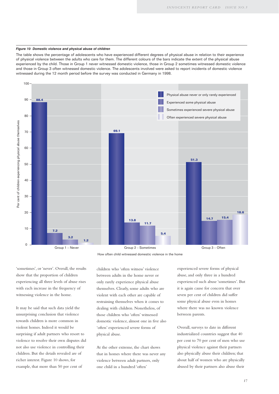#### *Figure 10 Domestic violence and physical abuse of children*

The table shows the percentage of adolescents who have experienced different degrees of physical abuse in relation to their experience of physical violence between the adults who care for them. The different colours of the bars indicate the extent of the physical abuse experienced by the child. Those in Group 1 never witnessed domestic violence, those in Group 2 sometimes witnessed domestic violence and those in Group 3 often witnessed domestic violence. The adolescents involved were asked to report incidents of domestic violence witnessed during the 12 month period before the survey was conducted in Germany in 1998.



How often child witnessed domestic violence in the home

'sometimes', or 'never'. Overall, the results show that the proportion of children experiencing all three levels of abuse rises with each increase in the frequency of witnessing violence in the home.

It may be said that such data yield the unsurprising conclusion that violence towards children is more common in violent homes. Indeed it would be surprising if adult partners who resort to violence to resolve their own disputes did not also use violence in controlling their children. But the details revealed are of richer interest. Figure 10 shows, for example, that more than 50 per cent of

children who 'often witness' violence between adults in the home never or only rarely experience physical abuse themselves. Clearly, some adults who are violent with each other are capable of restraining themselves when it comes to dealing with children. Nonetheless, of those children who 'often' witnessed domestic violence, almost one in five also 'often' experienced severe forms of physical abuse.

At the other extreme, the chart shows that in homes where there was never any violence between adult partners, only one child in a hundred 'often'

experienced severe forms of physical abuse, and only three in a hundred experienced such abuse 'sometimes'. But it is again cause for concern that over seven per cent of children did suffer some physical abuse even in homes where there was no known violence between parents.

Overall, surveys to date in different industrialized countries suggest that 40 per cent to 70 per cent of men who use physical violence against their partners also physically abuse their children; that about half of women who are physically abused by their partners also abuse their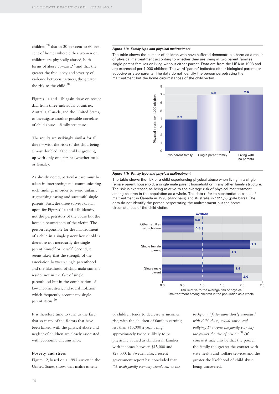children;<sup>26</sup> that in 30 per cent to 60 per cent of homes where either women or children are physically abused, both forms of abuse co-exist; $27$  and that the greater the frequency and severity of violence between partners, the greater the risk to the child.<sup>28</sup>

Figures11a and 11b again draw on recent data from three individual countries, Australia, Canada, and the United States, to investigate another possible correlate of child abuse – family structure.

The results are strikingly similar for all three – with the risks to the child being almost doubled if the child is growing up with only one parent (whether male or female).

As already noted, particular care must be taken in interpreting and communicating such findings in order to avoid unfairly stigmatising caring and successful single parents. First, the three surveys drawn upon for Figures11a and 11b identify not the perpetrators of the abuse but the home circumstances of the victim.The person responsible for the maltreatment of a child in a single parent household is therefore not necessarily the single parent himself or herself. Second, it seems likely that the strength of the association between single parenthood and the likelihood of child maltreatment resides not in the fact of single parenthood but in the combination of low income, stress, and social isolation which frequently accompany single parent status.<sup>29</sup>

It is therefore time to turn to the fact that so many of the factors that have been linked with the physical abuse and neglect of children are closely associated with economic circumstance.

#### **Poverty and stress**

Figure 12, based on a 1993 survey in the United States, shows that maltreatment

#### *Figure 11a Family type and physical maltreatment*

The table shows the number of children who have suffered demonstrable harm as a result of physical maltreatment according to whether they are living in two parent families, single parent families or living without either parent. Data are from the USA in 1993 and are expressed per 1,000 children. The word 'parent' indicates either biological parents or adoptive or step parents. The data do not identify the person perpetrating the maltreatment but the home circumstances of the child victim.



#### *Figure 11b Family type and physical maltreatment*

The table shows the risk of a child experiencing physical abuse when living in a single female parent household, a single male parent household or in any other family structure. The risk is expressed as being relative to the average risk of physical maltreatment among children in the population as a whole. The data refer to substantiated cases of maltreatment in Canada in 1998 (dark bars) and Australia in 1995/6 (pale bars). The data do not identify the person perpetrating the maltreatment but the home circumstances of the child victim.



maltreatment among children in the population as a whole

of children tends to decrease as incomes rise, with the children of families earning less than \$15,000 a year being approximately twice as likely to be physically abused as children in families with incomes between \$15,000 and \$29,000. In Sweden also, a recent government report has concluded that *"A weak family economy stands out as the*

*background factor most closely associated with child abuse, sexual abuse, and bullying.The worse the family economy,* the greater the risk of abuse."<sup>30</sup> Of course it may also be that the poorer the family the greater the contact with state health and welfare services and the greater the likelihood of child abuse being uncovered.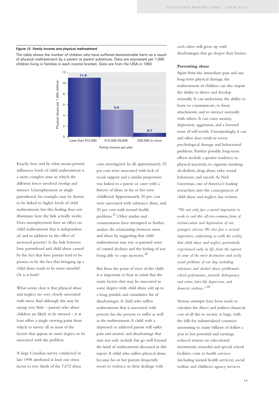#### *Figure 12 Family income and physical maltreatment*

The table shows the number of children who have suffered demonstrable harm as a result of physical maltreatment by a parent or parent substitute. Data are expressed per 1,000 children living in families in each income bracket. Data are from the USA in 1993.



Exactly how and by what means poverty influences levels of child maltreatment is a more complex issue in which the different forces involved overlap and interact. Unemployment or single parenthood, for example, may be shown to be linked to higher levels of child maltreatment, but this finding does not illuminate how the link actually works. Does unemployment have an effect on child maltreatment that is independent of, and in addition to, the effect of increased poverty? Is the link between lone parenthood and child abuse caused by the fact that lone parents tend to be poorer, or by the fact that bringing up a child alone tends to be more stressful? Or is it both?

What seems clear is that physical abuse and neglect are very closely associated with stress.And although this may be saying very little – parents who abuse children are likely to be stressed – it at least offers a single viewing point from which to survey all or most of the factors that appear, in some degree, to be associated with the problem.

A large Canadian survey conducted in late 1998 attributed at least one stress factor to two thirds of the 7,672 abuse

cases investigated. In all, approximately 25 per cent were associated with lack of social support and a similar proportion was linked to a parent or carer with a history of abuse in his or her own childhood.Approximately 20 per cent were associated with substance abuse, and 20 per cent with mental health problems.<sup>31</sup> Other studies and commentaries have attempted to further analyse the relationship between stress and abuse by suggesting that child maltreatment may rise as parental sense of control declines and the feeling of not being able to cope increases.<sup>32</sup>

But from the point of view of the child it is important to bear in mind that the many factors that may be associated in some degree with child abuse add up to a long, painful, and cumulative list of disadvantages.A child who suffers maltreatment that is associated with poverty has the poverty to suffer as well as the maltreatment.A child with a depressed or addicted parent will suffer pain and anxiety and disadvantage that may not only include but go well beyond the kind of maltreatment discussed in this report.A child who suffers physical abuse because his or her parents frequently resort to violence in their dealings with

each other will grow up with disadvantages that go deeper than bruises.

#### **Preventing abuse**

Apart from the immediate pain and any long-term physical damage, the maltreatment of children can also impair the ability to thrive and develop normally. It can undermine the ability to learn, to communicate, to form attachments, and to interact normally with others. It can cause anxiety, depression, aggression, and a lowered sense of self-worth. Unsurprisingly, it can and often does result in severe psychological damage and behavioural problems. Further possible long-term effects include a greater tendency to physical inactivity, to cigarette smoking, alcoholism, drug abuse, risky sexual behaviour, and suicide.As Neil Guterman, one of America's leading researchers into the consequences of child abuse and neglect, has written:

*"We not only face a moral imperative to work to end this all-too-common form of victimization and deprivation of our youngest citizens.We also face a societal imperative, confronting us with the reality that child abuse and neglect, particularly experienced early in life, form the taproot of some of the most destructive and costly social problems of our day, including substance and alcohol abuse, problematic school performance, juvenile delinquency and crime, later-life depression, and domestic violence."* <sup>33</sup>

Various attempts have been made to calculate the direct and indirect financial cost of all this to society at large, with the bills for industrialized countries amounting to many billions of dollars a year in lost potential and earnings, reduced returns on educational investments, remedial and special school facilities, costs to health services (including mental health services), social welfare and children's agency services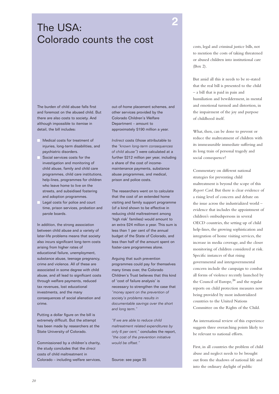## **<sup>2</sup>** The USA: Colorado counts the cost

The burden of child abuse falls first and foremost on the abused child. But there are also costs to society. And although impossible to itemise in detail, the bill includes:

- Medical costs for treatment of injuries, long-term disabilities, and psychiatric disorders.
- Social services costs for the investigation and monitoring of child abuse, family and child care programmes, child care institutions, help-lines, programmes for children who leave home to live on the streets, and subsidised fostering and adoption programmes.
- Legal costs for police and court time, prison services, probation and parole boards.

In addition, the strong association between child abuse and a variety of later-life problems means that society also incurs significant long-term costs arising from higher rates of educational failure, unemployment, substance abuse, teenage pregnancy, crime and violence. All of these are associated in some degree with child abuse, and all lead to significant costs through welfare payments, reduced tax revenues, lost educational investments, and the many consequences of social alienation and crime.

Putting a dollar figure on the bill is extremely difficult. But the attempt has been made by researchers at the State University of Colorado.

Commissioned by a children's charity, the study concludes that the *direct* costs of child maltreatment in Colorado – including welfare services, out-of-home placement schemes, and other services provided by the Colorado Children's Welfare Department – amount to approximately \$190 million a year.

*Indirect* costs (those attributable to the *"known long-term consequences of child abuse"*) were calculated at a further \$212 million per year, including a share of the cost of incomemaintenance payments, substance abuse programmes, and medical, prison and police costs.

The researchers went on to calculate that the cost of an extended home visiting and family support programme (of a kind shown to be effective in reducing child maltreatment among 'high risk' families) would amount to an extra \$24 million a year. This sum is less than 1 per cent of the annual budget of the State of Colorado, and less than half of the amount spent on foster-care programmes alone.

Arguing that such prevention programmes could pay for themselves many times over, the Colorado Children's Trust believes that this kind of 'cost of failure analysis' is necessary to strengthen the case that *"money spent on the prevention of society's problems results in documentable savings over the short and long term."*

*"If we are able to reduce child maltreatment related expenditures by only 6 per cent,"* concludes the report, *"the cost of the prevention initiative would be offset."*

Source: see page 35

costs, legal and criminal justice bills, not to mention the costs of taking threatened or abused children into institutional care (Box 2).

But amid all this it needs to be re-stated that the real bill is presented to the child – a bill that is paid in pain and humiliation and bewilderment, in mental and emotional turmoil and distortion, in the impairment of the joy and purpose of childhood itself.

What, then, can be done to prevent or reduce the maltreatment of children with its immeasurable immediate suffering and its long train of personal tragedy and social consequence?

Commentary on different national strategies for preventing child maltreatment is beyond the scope of this *Report Card*. But there is clear evidence of a rising level of concern and debate on the issue across the industrialized world – evidence that includes the appointment of children's ombudspersons in several OECD countries, the setting up of child help-lines, the growing sophistication and integration of home visiting services, the increase in media coverage, and the closer monitoring of children considered at risk. Specific instances of that rising governmental and intergovernmental concern include the campaign to combat all forms of violence recently launched by the Council of Europe,  $34$  and the regular reports on child protection measures now being provided by most industrialized countries to the United Nations Committee on the Rights of the Child.

An international review of this experience suggests three overarching points likely to be relevant to national efforts.

First, in all countries the problem of child abuse and neglect needs to be brought out from the shadows of national life and into the ordinary daylight of public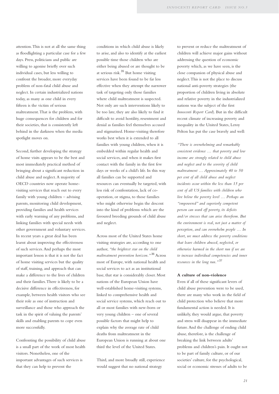attention.This is not at all the same thing as floodlighting a particular case for a few days. Press, politicians and public are willing to agonise briefly over such individual cases, but less willing to confront the broader, more everyday problem of non-fatal child abuse and neglect. In certain industrialized nations today, as many as one child in every fifteen is the victim of serious maltreatment.That is the problem, with huge consequences for children and for their societies, that is consistently left behind in the darkness when the media spotlight moves on.

Second, further developing the strategy of home visits appears to be the best and most immediately practical method of bringing about a significant reduction in child abuse and neglect.A majority of OECD countries now operate homevisiting services that reach out to every family with young children – advising parents, monitoring child development, providing families and health services with early warning of any problems, and linking families with special needs with other government and voluntary services. In recent years a great deal has been learnt about improving the effectiveness of such services.And perhaps the most important lesson is that it is not the fact of home visiting services but the quality of staff, training, and approach that can make a difference to the lives of children and their families.There is likely to be a decisive difference in effectiveness, for example, between health visitors who see their role as one of instruction and surveillance and those who approach the task in the spirit of valuing the parents' skills and enabling parents to cope even more successfully.

Confronting the possibility of child abuse is a small part of the work of most health visitors. Nonetheless, one of the important advantages of such services is that they can help to prevent the

conditions in which child abuse is likely to arise, and also to identify at the earliest possible time those children who are either being abused or are thought to be at serious risk.<sup>35</sup> But home visiting services have been found to be far less effective when they attempt the narrower task of targeting only those families where child maltreatment is suspected. Not only are such interventions likely to be too late, they are also likely to find it difficult to avoid hostility, resentment and denial as families feel themselves accused and stigmatised. Home-visiting therefore works best when it is extended to all families with young children, when it is embedded within regular health and social services, and when it makes first contact with the family in the first few days or weeks of a child's life. In this way all families can be supported and resources can eventually be targeted, with less risk of confrontation, lack of cooperation, or stigma, to those families who might otherwise begin the descent into the kind of problems which are the favoured breeding grounds of child abuse and neglect.

Across most of the United States home visiting strategies are, according to one author, *"the brightest star on the child maltreatment prevention horizon."* <sup>36</sup> Across most of Europe, with national health and social services to act as an institutional base, that star is considerably closer. Most nations of the European Union have well-established home-visiting systems, linked to comprehensive health and social service systems, which reach out to all or most families with new-born or very young children – one of several possible factors that might help to explain why the average rate of child deaths from maltreatment in the European Union is running at about one third the level of the United States.

Third, and more broadly still, experience would suggest that no national strategy

to prevent or reduce the maltreatment of children will achieve major gains without addressing the question of economic poverty which, as we have seen, is the close companion of physical abuse and neglect.This is not the place to discuss national anti-poverty strategies (the proportion of children living in absolute and relative poverty in the industrialized nations was the subject of the first *Innocenti Report Card*). But in the difficult recent climate of increasing poverty and inequality in the United States, Leroy Pelton has put the case bravely and well:

*"There is overwhelming and remarkably consistent evidence … that poverty and low income are strongly related to child abuse and neglect and to the severity of child maltreatment … Approximately 40 to 50 per cent of all child abuse and neglect incidents occur within the less than 15 per cent of all US families with children who live below the poverty level … Perhaps an "empowered" and superiorly competent person can ward off poverty, its deficits and/or stresses that can arise therefrom. But the environment is real, not just a matter of perception, and can overwhelm people … In short, we must address the poverty conditions that leave children abused, neglected, or otherwise harmed in the short run if we are to increase individual competencies and inner resources in the long run."* <sup>37</sup>

#### **A culture of non-violence**

Even if all of these significant levers of child abuse prevention were to be used, there are many who work in the field of child protection who believe that more fundamental action is needed. It is unlikely, they would argue, that poverty and stress will disappear in the immediate future.And the challenge of ending child abuse, therefore, is the challenge of breaking the link between adults' problems and children's pain. It ought not to be part of family culture, or of our societies' culture, for the psychological, social or economic stresses of adults to be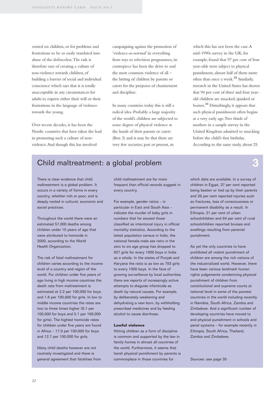vented on children, or for problems and frustrations to be so easily translated into abuse of the defenceless.The task is therefore one of creating a culture of non-violence towards children, of building a barrier of social and individual conscience which says that it is totally unacceptable in any circumstances for adults to express either their will or their frustrations in the language of violence towards the young.

Over recent decades, it has been the Nordic countries that have taken the lead in promoting such a culture of nonviolence.And though this has involved

campaigning against the promotion of 'violence-as-normal' in everything from toys to television programmes, its centrepiece has been the drive to end the most common violence of all – the hitting of children by parents or carers for the purposes of chastisement and discipline.

In many countries today this is still a radical idea. Probably a large majority of the world's children are subjected to some degree of physical violence at the hands of their parents or carers (Box 3) and it may be that there are very few societies, past or present, in

which this has not been the case. A mid-1990s survey in the UK, for example, found that 97 per cent of four year-olds were subject to physical punishment, almost half of them more often than once a week.<sup>38</sup> Similarly, research in the United States has shown that 94 per cent of three and four yearold children are smacked, spanked or beaten.<sup>39</sup> Disturbingly, it appears that such physical punishment often begins at a very early age.Two thirds of mothers in a sample survey in the United Kingdom admitted to smacking before the child's first birthday. According to the same study, about 25

### Child maltreatment: a global problem **3**

There is clear evidence that child maltreatment is a global problem. It occurs in a variety of forms in every country, whether rich or poor, and is deeply rooted in cultural, economic and social practices.

Throughout the world there were an estimated 57,000 deaths among children under 15 years of age that were attributed to homicide in 2000, according to the World Health Organization.

The risk of fatal maltreatment for children varies according to the income level of a country and region of the world. For children under five years of age living in high income countries the death rate from maltreatment is estimated at 2.2 per 100,000 for boys and 1.8 per 100,000 for girls. In low to middle income countries the rates are two to three times higher (6.1 per 100,000 for boys and 5.1 per 100,000 for girls). The highest homicide rates for children under five years are found in Africa – 17.9 per 100,000 for boys and 12.7 per 100,000 for girls.

Many child deaths however are not routinely investigated and there is general agreement that fatalities from child maltreatment are far more frequent than official records suggest in every country.

For example, gender ratios – in particular in East and South Asia – indicate the murder of baby girls in numbers that far exceed those classified as intentional injury in official mortality statistics. According to the latest population census in India, the national female-male sex ratio in the zero to six age group has dropped to 927 girls for every 1000 boys in India as a whole. In the states of Punjab and Haryana the ratio is as low as 793 girls to every 1000 boys. In the face of growing surveillance by local authorities there are reports of increasingly active attempts to disguise infanticide as death by natural causes. For example, by deliberately weakening and dehydrating a new born, by withholding prescribed medicines and by feeding alcohol to cause diarrhoea.

#### **Lawful violence**

Hitting children as a form of discipline is common and supported by the law in family homes in almost all countries of the world. Furthermore, it seems that harsh physical punishment by parents is commonplace in those countries for

which data are available. In a survey of children in Egypt, 37 per cent reported being beaten or tied up by their parents and 26 per cent reported injuries such as fractures, loss of consciousness or permanent disability as a result. In Ethiopia, 21 per cent of urban schoolchildren and 64 per cent of rural schoolchildren reported bruises and swellings resulting from parental punishment.

As yet the only countries to have prohibited all violent punishment of children are among the rich nations of the industrialized world. However, there have been various landmark human rights judgements condemning physical punishment of children from constitutional and supreme courts at national level in some of the poorest countries in the world including recently in Namibia, South Africa, Zambia and Zimbabwe. And a significant number of developing countries have moved to end physical punishment in schools and penal systems – for example recently in Ethiopia, South Africa, Thailand, Zambia and Zimbabwe.

Sources: see page 35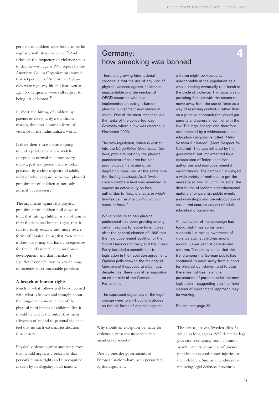per cent of children were found to be hit regularly with straps or canes.<sup>40</sup> And although the frequency of violence tends to decline with age, a 1995 report by the American Gallup Organization showed that 40 per cent of American 13 yearolds were regularly hit and that even at age 15 one quarter were still subject to being hit or beaten.<sup>41</sup>

In short, the hitting of children by parents or carers is, by a significant margin, the most common form of violence in the industrialized world.

Is there then a case for attempting to end a practice which is widely accepted as normal in almost every society, past and present, and is today practised by a clear majority of adults most of whom regard occasional physical punishment of children as not only normal but necessary?

The arguments against the physical punishment of children boil down to four: that hitting children is a violation of their fundamental human rights; that it can too easily escalate into more severe forms of physical abuse; that even when it does not it may still have consequences for the child's mental and emotional development; and that it makes a significant contribution to a wide range of societies' most intractable problems.

#### **A breach of human rights**

Much of what follows will be concerned with what is known and thought about the long-term consequences of the physical punishment of children. But it should be said at the outset that many advocates of an end to parental violence feel that no such external justification is necessary.

Physical violence against another person, they would argue, is a breach of that person's human rights and is recognised as such by its illegality in all nations.

### Germany: how smacking was banned

There is a growing international consensus that the use of any kind of physical violence against children is unacceptable and the number of OECD countries who have implemented an outright ban on physical punishment now stands at seven. One of the most recent to join the ranks of the converted was Germany where a law was enacted in November 2000.

The new legislation, which is written into the *Bürgerliches Gesetzbuch* (civil law), prohibits not only the physical punishment of children but also psychological harm and other degrading measures. At the same time the *Sozialgesetzbuch No.8* (which covers childcare law) was amended to impose an active duty on local authorities to *"promote ways in which families can resolve conflict without resort to force."*

While pressure to ban physical punishment had been growing among certain sectors for some time, it was after the general election of 1998 that the new government coalition of the Social Democratic Party and the Green Party included a commitment to legislation in their coalition agreement. Opinion polls showed the majority of Germans still opposed to a ban but, despite this, there was little opposition on either side of the German Parliament.

The expressed objectives of the legal change were to shift public attitudes so that all forms of violence against

Why should an exception be made for violence against the most vulnerable members of society?

One by one, the governments of European nations have been persuaded by this argument.

children might be viewed as unacceptable in the population as a whole, leading eventually to a break in the cycle of violence. The focus was on providing families with the means to move away from the use of force as a way of resolving conflict – rather than on a punitive approach that would put parents and carers in conflict with the law. The legal change was therefore accompanied by a widespread public education campaign entitled *"Mehr Respekt für Kinder"* (More Respect for Children). This was initiated by the government but implemented by a combination of federal and local authorities and non-governmental organizations. The campaign employed a wide variety of methods to get the message across including TV slots, the distribution of leaflets and educational materials for parents, public events and workshops and the introduction of structured courses as part of adult education programmes.

An evaluation of the campaign has found that it has so far been successful in raising awareness of violence against children among around 30 per cent of parents and children. There is evidence that the trend among the German public has continued to move away from support for physical punishment and to date there has not been a single prosecution of parents under the new legislation – suggesting that the 'help instead of punishment' approach may be working.

Source: see page 35

The first to act was Sweden (Box 5) which as long ago as 1957 deleted a legal provision exempting from 'common assault' parents whose use of physical punishment caused minor injuries to their children. Similar amendments – removing legal defences previously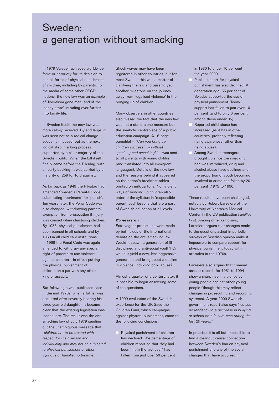### Sweden: a generation without smacking

In 1979 Sweden achieved worldwide fame or notoriety for its decision to ban all forms of physical punishment of children, including by parents. To the media of some other OECD nations, the new law was an example of 'liberalism gone mad' and of the 'nanny state' intruding ever further into family life.

In Sweden itself, the new law was more calmly received. By and large, it was seen not as a radical change suddenly imposed, but as the next logical step in a long process supported by a clear majority of the Swedish public. When the bill itself finally came before the Riksdag, with all-party backing, it was carried by a majority of 259 for to 6 against.

As far back as 1949 the Riksdag had amended Sweden's Parental Code, substituting 'reprimand' for 'punish'. Ten years later, the Penal Code was also changed, withdrawing parents' exemption from prosecution if injury was caused when chastising children. By 1958, physical punishment had been banned in all schools and by 1960 in all child care institutions. In 1966 the Penal Code was again amended to withdraw any special right of parents to use violence against children – in effect putting the physical punishment of children on a par with any other kind of assault.

But following a well-publicised case in the mid 1970s, when a father was acquitted after severely beating his three year-old daughter, it became clear that the existing legislation was inadequate. The result was the antismacking law of July 1979 sending out the unambiguous message that *"children are to be treated with respect for their person and individuality and may not be subjected to physical punishment or other injurious or humiliating treatment."*

Shock waves may have been registered in other countries, but for most Swedes this was a matter of clarifying the law and passing yet another milestone on the journey away from 'legalised violence' in the bringing up of children.

Many observers in other countries also missed the fact that the new law was not a stand-alone measure but the symbolic centrepiece of a public education campaign. A 16-page pamphlet – *"Can you bring up children successfully without spanking and smacking?"* – was sent to all parents with young children (and translated into all immigrant languages). Details of the new law and the reasons behind it appeared on the nation's breakfast tables – printed on milk cartons. Non-violent ways of bringing up children also entered the syllabus in 'responsible parenthood' lessons that are a part of Swedish education at all levels.

#### **25 years on**

Extravagant predictions were made by both sides of the international debate on the anti-smacking law. Would it spawn a generation of illdisciplined and anti-social youth? Or would it yield a new, less aggressive generation and bring about a decline in violence, including child abuse?

Almost a quarter of a century later, it is possible to begin answering some of the questions.

A 1999 evaluation of the Swedish experience for the UK Save the Children Fund, which campaigns against physical punishment, came to the following conclusions:

 Physical punishment of children has declined. The percentage of children reporting that they had been 'hit in the last year' has fallen from just over 50 per cent in 1980 to under 10 per cent in the year 2000.

- Public support for physical punishment has also declined. A generation ago, 55 per cent of Swedes supported the use of physical punishment. Today support has fallen to just over 10 per cent (and to only 6 per cent among those under 35).
- Reported child abuse has increased (as it has in other countries, probably reflecting rising awareness rather than rising abuse).
- Among Swedish teenagers brought up since the smacking ban was introduced, drug and alcohol abuse have declined and the proportion of youth becoming involved in crime has fallen by 20 per cent (1975 to 1996).

These results have been challenged, notably by Robert Larzelere of the University of Nebraska Medical Center in the US publication *Families First*. Among other criticisms, Larzelere argues that changes made to the questions asked in periodic surveys of Swedish opinion make it impossible to compare support for physical punishment today with attitudes in the 1970s.

Larzelere also argues that criminal assault records for 1981 to 1994 show a sharp rise in violence by young people against other young people (though this may reflect changes in prosecuting and recording systems). A year 2000 Swedish government report also says *"we see no tendency to a decrease in bullying at school or in leisure time during the last 20 years."*

In practice, it is all but impossible to find a clear-cut causal connection between Sweden's ban on physical punishment and any of the social changes that have occurred in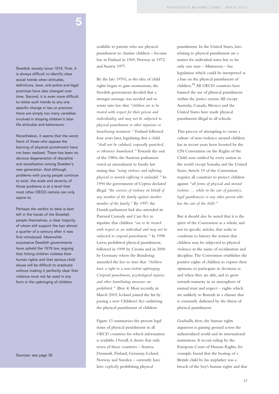## **5**

Swedish society since 1979. First, it is always difficult to identify clear social trends when attitudes, definitions, laws, and police and legal practices have also changed over time. Second, it is even more difficult to relate such trends to any one specific change in law or practice; there are simply too many variables involved in shaping children's later life attitudes and behaviours.

Nonetheless, it seems that the worst fears of those who oppose the banning of physical punishment have not been realised. There has been no obvious degeneration of discipline and socialisation among Sweden's new generation. And although problems with young people continue to exist, the scale and severity of those problems is at a level that most other OECD nations can only aspire to.

Perhaps the verdict to date is best left in the hands of the Swedish people themselves, a clear majority of whom still support the ban almost a quarter of a century after it was first introduced. Meanwhile successive Swedish governments have upheld the 1979 law, arguing that hitting children violates their human rights and that serious child abuse will be difficult to eradicate without making it perfectly clear that violence must not be used in any form in the upbringing of children.

Sources: see page 35

available to parents who use physical punishment to chastise children – became law in Finland in 1969, Norway in 1972, and Austria 1977.

By the late 1970's, as the idea of child rights began to gain momentum, the Swedish government decided that a stronger message was needed and so wrote into law that *"children are to be treated with respect for their person and individuality and may not be subjected to physical punishment or other injurious or humiliating treatment."* Finland followed four years later, legislating that a child *"shall not be subdued, corporally punished, or otherwise humiliated."* Towards the end of the 1980s, the Austrian parliament voted an amendment to family law stating that *"using violence and inflicting physical or mental suffering is unlawful."* In 1994 the government of Cyprus declared illegal *"the exercise of violence on behalf of any member of the family against another member of the family."* By 1997, the Danish parliament had also amended its Parental Custody and Care Act to stipulate that children *"are to be treated with respect as an individual and may not be subjected to corporal punishment."* In 1998 Latvia prohibited physical punishment, followed in 1999 by Croatia and in 2000 by Germany where the Bundestag amended the law to state that *"children have a right to a non-violent upbringing. Corporal punishment, psychological injuries and other humiliating measures are prohibited."* (Box 4) Most recently, in March 2003, Iceland joined the list by passing a new Children's Act outlawing the physical punishment of children.

Figure 13 summarises the present legal status of physical punishment in all OECD countries for which information is available. Overall, it shows that only seven of those countries – Austria, Denmark, Finland, Germany, Iceland, Norway and Sweden – currently have laws *explicitly* prohibiting physical

punishment. In the United States, laws relating to physical punishment are a matter for individual states but so far only one state – Minnesota – has legislation which could be interpreted as a ban on the physical punishment of children.<sup>42</sup> All OECD countries have banned the use of physical punishment within the justice system.All except Australia, Canada, Mexico and the United States have made physical punishment illegal in all schools.

This process of attempting to create a culture of non-violence around children has in recent years been boosted by the UN Convention on the Rights of the Child, now ratified by every nation in the world except Somalia and the United States.Article 19 of the Convention requires all countries to protect children against *"all forms of physical and mental violence … while in the care of parent(s), legal guardians(s) or any other person who has the care of the child."*

But it should also be noted that it is the spirit of the Convention as a whole, and not its specific articles, that seeks to condemn to history the notion that children may be subjected to physical violence in the name of socialisation and discipline.The Convention establishes the positive rights of children to express their opinions, to participate in decisions as and when they are able, and to grow towards maturity in an atmosphere of mutual trust and respect – rights which are unlikely to flourish in a climate that is constantly darkened by the threat of physical punishment.

Gradually, then, the human rights argument is gaining ground across the industrialized world and its international institutions.A recent ruling by the European Court of Human Rights, for example, found that the beating of a British child by his stepfather was a breach of the boy's human rights and that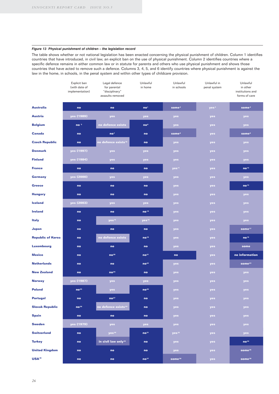#### *Figure 13 Physical punishment of children – the legislation record*

The table shows whether or not national legislation has been enacted concerning the physical punishment of children. Column 1 identifies countries that have introduced, in civil law, an explicit ban on the use of physical punishment. Column 2 identifies countries where a specific defence remains in either common law or in statute for parents and others who use physical punishment and shows those countries that have acted to remove such a defence. Columns 3, 4, 5, and 6 identify countries where physical punishment is against the law in the home, in schools, in the penal system and within other types of childcare provision.

|                          | Explicit ban<br>(with date of<br>implementation) | Legal defence<br>for parental<br>"disciplinary"<br>assaults removed | Unlawful<br>in home | Unlawful<br>in schools | Unlawful in<br>penal system | Unlawful<br>in other<br>institutions and<br>forms of care |
|--------------------------|--------------------------------------------------|---------------------------------------------------------------------|---------------------|------------------------|-----------------------------|-----------------------------------------------------------|
| <b>Australia</b>         | no                                               | no                                                                  | no <sup>1</sup>     | some <sup>2</sup>      | yes <sup>3</sup>            | some <sup>4</sup>                                         |
| <b>Austria</b>           | yes (1989)                                       | yes                                                                 | yes                 | yes                    | yes                         | yes                                                       |
| <b>Belgium</b>           | no <sub>5</sub>                                  | no defence exists                                                   | no <sup>6</sup>     | yes                    | yes                         | yes                                                       |
| <b>Canada</b>            | no                                               | no <sup>7</sup>                                                     | no                  | some <sup>8</sup>      | yes                         | some <sup>9</sup>                                         |
| <b>Czech Republic</b>    | no                                               | no defence exists <sup>10</sup>                                     | no                  | yes                    | yes                         | yes                                                       |
| <b>Denmark</b>           | yes (1997)                                       | yes                                                                 | yes                 | yes                    | yes                         | yes                                                       |
| <b>Finland</b>           | yes (1984)                                       | yes                                                                 | yes                 | yes                    | yes                         | yes                                                       |
| <b>France</b>            | no                                               | no                                                                  | no                  | yes <sup>11</sup>      | yes                         | no <sup>12</sup>                                          |
| <b>Germany</b>           | yes (2000)                                       | yes                                                                 | yes                 | yes                    | yes                         | yes                                                       |
| Greece                   | no                                               | no                                                                  | no                  | yes                    | yes                         | no <sup>13</sup>                                          |
| <b>Hungary</b>           | no                                               | no                                                                  | no                  | yes                    | yes                         | yes                                                       |
| <b>Iceland</b>           | yes (2003)                                       | yes                                                                 | yes                 | yes                    | yes                         | yes                                                       |
| <b>Ireland</b>           | no                                               | no                                                                  | no <sup>14</sup>    | yes                    | yes                         | yes                                                       |
| <b>Italy</b>             | no                                               | yes <sup>15</sup>                                                   | yes <sup>16</sup>   | yes                    | yes                         | yes                                                       |
| Japan                    | no                                               | no                                                                  | no                  | yes                    | yes                         | some <sup>17</sup>                                        |
| <b>Republic of Korea</b> | no                                               | no defence exists                                                   | no <sup>18</sup>    | yes                    | yes                         | no <sup>19</sup>                                          |
| <b>Luxembourg</b>        | no                                               | no                                                                  | no                  | yes                    | yes                         | some                                                      |
| <b>Mexico</b>            | no                                               | no <sup>20</sup>                                                    | no <sup>21</sup>    | no                     | yes                         | no information                                            |
| <b>Netherlands</b>       | no                                               | no                                                                  | no <sup>22</sup>    | yes                    | yes                         | some <sup>23</sup>                                        |
| <b>New Zealand</b>       | no                                               | no <sup>24</sup>                                                    | no                  | <b>yes</b>             | yes                         | yes                                                       |
| <b>Norway</b>            | yes (1987)                                       | yes                                                                 | yes                 | yes                    | yes                         | yes                                                       |
| <b>Poland</b>            | no <sup>25</sup>                                 | yes                                                                 | no <sup>26</sup>    | yes                    | yes                         | yes                                                       |
| <b>Portugal</b>          | no                                               | no <sup>27</sup>                                                    | no                  | yes                    | yes                         | yes                                                       |
| <b>Slovak Republic</b>   | no <sup>28</sup>                                 | no defence exists <sup>29</sup>                                     | no                  | yes                    | yes                         | yes                                                       |
| <b>Spain</b>             | no                                               | no                                                                  | no                  | yes                    | yes                         | yes                                                       |
| <b>Sweden</b>            | yes (1979)                                       | yes                                                                 | yes                 | yes                    | yes                         | yes                                                       |
| <b>Switzerland</b>       | no                                               | yes <sup>30</sup>                                                   | no <sup>31</sup>    | yes <sup>32</sup>      | <b>yes</b>                  | yes                                                       |
| Turkey                   | no                                               | in civil law only <sup>33</sup>                                     | no                  | yes                    | yes                         | no <sup>34</sup>                                          |
| <b>United Kingdom</b>    | no                                               | no                                                                  | no                  | yes                    | yes                         | some <sup>35</sup>                                        |
| USA <sup>36</sup>        | no                                               | no                                                                  | no <sup>37</sup>    | some <sup>38</sup>     | yes                         | some <sup>39</sup>                                        |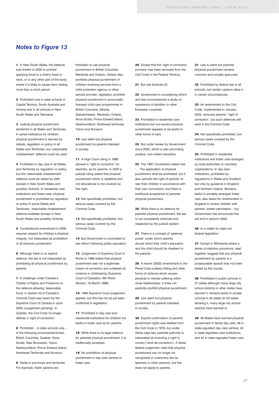#### *Notes to Figure 13*

**1** In New South Wales, the defence was limited in 2002 to prohibit applying force to a child's head or neck, or to any other part of the body where it is likely to cause harm lasting more than a short period.

**2** Prohibited only in state schools in Capital Territory, South Australia and Victoria and in all schools in New South Wales and Tasmania.

**3** Judicial physical punishment abolished in all States and Territories. In penal institutions for children, physical punishment is banned by statute, regulation or policy in all States and Territories, but 'reasonable chastisement' defence could be used.

**4** Prohibited in day care in all States and Territories by regulation or policy, but the 'reasonable chastisement' defence could be raised by staff (except in New South Wales and possibly Victoria). In residential care institutions and foster-care, physical punishment is prohibited by regulation or policy in some States and Territories; 'reasonable chastisement' defence available (except in New South Wales and possibly Victoria).

**5** Constitutional amendment in 2000 requires respect for children's physical integrity; not interpreted as prohibition of all physical punishment.

**6** Although there is no explicit defence, the law is not interpreted as prohibiting all physical punishment by parents.

**7** A challenge under Canada's Charter of Rights and Freedoms to the defence allowing 'reasonable force' in section 43 of Canada's Criminal Code was heard by the Supreme Court of Canada in June 2003 (Judgement pending). In Quebec, the Civil Code no longer defines a 'right of correction'.

**8** Prohibited – in state schools only – in the following provinces/territories: British Columbia, Quebec, Nova Scotia, New Brunswick, Yukon, Newfoundland, Prince Edward Island, Northwest Territories and Nunavut.

**9** Varies in provinces and territories. For example, foster parents are

forbidden to use physical punishment in British Columbia, Manitoba and Ontario. Ontario also prohibits physical punishment of children receiving services from a child protection agency or other service provider; legislation prohibits physical punishment in provinciallylicensed child care programmes in British Columbia, Alberta, Saskatchewan, Manitoba, Ontario, Nova Scotia, Prince Edward Island, Newfoundland, Northwest territories, Yukon and Nunavut.

**10** Law silent but physical punishment by parents tolerated in society.

**11** A High Court ruling in 1889 allowed a 'right to correction' for teachers, as for parents. In 2000 a judicial ruling stated that physical punishment which is repetitive and not educational is not covered by this right.

12 Not specifically prohibited, but serious cases covered by the Criminal Code.

13 Not specifically prohibited, but serious cases covered by the Criminal Code.

14 But Government is committed to law reform following public education.

**15** Judgement of Supreme Court in Rome in 1996 stated that physical punishment was not a legitimate means of correction and outlawed all violence in childrearing (Supreme Court of Cassation, 6th Penal Section, 18 March 1996).

**16** 1996 Supreme Court judgement applies, but this has not as yet been confirmed in legislation.

**17** Prohibited in day care and residential institutions for children but lawful in foster care as for parents.

**18** While there is no legal defence for parental physical punishment, it is traditionally accepted.

19 No prohibition of physical punishment in day care centres or foster care.

**20** Except that the 'right of correction' provision has been removed from the Civil Code in the Federal Territory.

#### **21** But see footnote 20.

**22** Government is considering reform and has commissioned a study on experience of abolition in other European countries.

**23** Prohibited in residential care institutions but non-severe physical punishment appears to be lawful in other forms of care.

**24** But under review by Government since 2002, which is also promoting positive, non-violent discipline.

**25** The 1997 Constitution states that '… The application of physical punishment shall be prohibited' but it also upholds the right of parents 'to rear their children in accordance with their own convictions' and there is traditional acceptance of parental physical punishment.

**26** While there is no defence for parental physical punishment, the law is not consistently enforced and respected by the judicial system.

27 There is a concept of 'paternal power' under which parents should direct their child's education and the child should be obedient to the parents.

**28** A recent (2002) amendment to the Penal Code outlaws hitting and other forms of violence which causes physical or mental suffering within close relationships. It does not explicitly prohibit physical punishment.

**29** Law silent but physical punishment by parents tolerated in society.

**30** Explicit confirmation of parents' punishment rights was deleted from the Civil Code in 1978, but under Swiss case law, parental authority is interpreted as including a right to correct ('droit de correction'). A Swiss federal judgement ruled that physical punishment can no longer be recognised in customary law by teachers or other persons, but this does not apply to parents.

**31** Law is silent but parental physical punishment remains common and socially approved.

**32** Prohibited by federal law in all schools, but certain cantons allow it in certain circumstances.

**33** An amendment to the Civil Code, implemented in January 2002, removed parents' 'right of correction', but such defences still exist in the Criminal Code.

**34** Not specifically prohibited, but serious cases covered by the Criminal Code.

**35** Prohibited in residential institutions and foster care arranged by local authorities or voluntary organizations. In day care institutions, prohibited by regulations in Wales and Scotland but only by guidance in England and Northern Ireland. Remains lawful in privately-arranged foster care; also lawful for childminders in England to smack children with parents' written permission – but Government has announced this will end in autumn 2003.

**36** Is a matter for state not federal legislation.

**37** Except in Minnesota where a series of statutory provisions, read together, suggest that any physical punishment by parents is a prosecutable assault (has not been tested by the courts).

**38** Prohibited in public schools in 27 states although many large city school districts in other states have banned it; remains lawful in private schools in all states (in 23 states allowing it, many large city school districts have banned it).

**39** 46 States have banned physical punishment in family day care; 48 in state-regulated day care centres; 43 in state-regulated care institutions; and 44 in state-regulated foster care.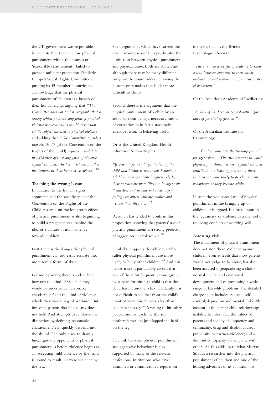the UK government was responsible because its laws (which allow physical punishment within the bounds of 'reasonable chastisement') failed to provide sufficient protection. Similarly, Europe's Social Rights Committee is pushing its 45 member countries to acknowledge that the physical punishment of children is a breach of their human rights, arguing that *"The Committee does not find it acceptable that a society which prohibits any form of physical violence between adults would accept that adults subject children to physical violence"* and adding that *"The Committee considers that Article 17* (of the Convention on the Rights of the Child) *requires a prohibition in legislation against any form of violence against children, whether at school, in other institutions, in their home or elsewhere."* <sup>43</sup>

#### **Teaching the wrong lesson**

In addition to the human rights argument, and the specific spur of the Convention on the Rights of the Child, research on the long term effects of physical punishment is also beginning to build a pragmatic case behind the idea of a culture of non-violence towards children.

First, there is the danger that physical punishment can too easily escalate into more severe forms of abuse.

For most parents, there is a clear line between the kind of violence they would consider to be 'reasonable chastisement' and the kind of violence which they would regard as 'abuse'. But for some parents that line clearly does not hold.And attempts to reinforce the distinction by defining 'reasonable chastisement' can quickly descend into the absurd.The only place to draw a line, argue the opponents of physical punishment, is before violence begins at all; accepting mild violence by the many is bound to result in severe violence by the few.

Such arguments, which have carried the day in many parts of Europe, dissolve the distinction between physical punishment and physical abuse. Both are abuse.And although there may be many different rungs on the abuse ladder, removing the bottom ones makes that ladder more difficult to climb.

Second, there is the argument that the physical punishment of a child by an adult, far from being a necessary means of correction, is in fact a startlingly effective lesson in behaving badly.

Or as the United Kingdom Health Education Authority puts it:

*"If you hit your child you're telling the child that hitting is reasonable behaviour. Children who are treated aggressively by their parents are more likely to be aggressive themselves and to take out their angry feelings on others who are smaller and weaker than they are."* <sup>44</sup>

Research has tended to confirm this proposition, showing that parents' use of physical punishment is a strong predictor of aggression in adolescence.<sup>45</sup>

Similarly, it appears that children who suffer physical punishment are more likely to bully other children.<sup>46</sup> And this makes it seem particularly absurd that one of the most frequent reasons given by parents for hitting a child is that the child has hit another child. Certainly it is not difficult to see that from the child's point of view this delivers a less than coherent message:'It's wrong to hit other people, and to teach me this my mother/father has just slapped me hard on the leg'.

The link between physical punishment and aggressive behaviour is also supported by many of the relevant professional institutions who have examined or commissioned reports on

the issue, such as the British Psychological Society:

*"There is now a weight of evidence to show a link between exposure to even minor violence … and acquisition of violent modes of behaviour."*

Or the American Academy of Paediatrics:

*"Spanking has been associated with higher rates of physical aggression."*

Or the Australian Institute for Criminology:

*"… families constitute the training ground for aggression … The circumstances in which physical punishment is used against children contribute to a learning process … those children are more likely to develop violent behaviours as they become adults."*

In sum, the widespread use of physical punishment in the bringing up of children, it is argued, is a mass lesson in the legitimacy of violence as a method of resolving conflicts or asserting will.

#### **Assessing risk**

The indictment of physical punishment does not stop there.Violence against children, even at levels that most parents would not judge to be abuse, has also been accused of jeopardising a child's normal mental and emotional development and of promoting a wide range of later-life problems.The detailed charge sheet includes: reduced selfcontrol; depression and mental ill-health; erosion of the parent child relationship; inability to internalise the values of parents and society; delinquency and criminality; drug and alcohol abuse; a propensity to partner-violence; and a diminished capacity for empathy with others.All this adds up to what Murray Strauss, a researcher into the physical punishment of children and one of the leading advocates of its abolition, has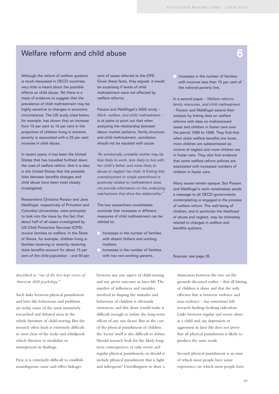### Welfare reform and child abuse **6**

Although the reform of welfare systems is much-discussed in OECD countries, very little is heard about the possible effects on child abuse. Yet there is a mass of evidence to suggest that the prevalence of child maltreatment may be highly sensitive to changes in economic circumstance. The US study cited below, for example, has shown that an increase from 10 per cent to 15 per cent in the proportion of children living in extreme poverty is associated with a 22 per cent increase in child abuse.

In recent years, it has been the United States that has travelled furthest down the road of welfare reform. And it is also in the United States that the possible links between benefits changes and child abuse have been most closely investigated.

Researchers Christina Paxson and Jane Waldfogel, respectively of Princeton and Columbia Universities, were prompted to look into the issue by the fact that about half of all cases investigated by US Child Protection Services (CPS) involve families on welfare. In the State of Illinois, for example, children living in families receiving or recently receiving state benefits account for about 15 per cent of the child population – and 60 per cent of cases referred to the CPS. Given these facts, they argued, it would be surprising if levels of child maltreatment were not affected by welfare reforms.

Paxson and Waldfogel's 2002 study – *Work, welfare, and child maltreatment* – is at pains to point out that when analysing the relationship between labour market patterns, family structure, and child maltreatment, correlation should not be equated with cause:

*"An emotionally unstable mother may be less likely to work, less likely to live with her child's father, and more likely to abuse or neglect her child. A finding that unemployment or single parenthood is positively related to maltreatment does not provide information on the underlying mechanisms that drive the relationship."*

The two researchers nonetheless conclude that increases in different measures of child maltreatment can be related to:

- Increases in the number of families with absent fathers and working mothers.
- Increases in the number of families with two non-working parents.

 Increases in the number of families with incomes less than 75 per cent of the national poverty line.

In a second paper – *Welfare reforms, family resources, and child maltreatment* – Paxson and Waldfogel extend their analysis by linking data on welfare reforms with data on maltreatment cases and children in foster care over the period 1990 to 1998. They find that when state welfare benefits are lower, more children are substantiated as victims of neglect and more children are in foster care. They also find evidence that some welfare reform policies are associated with increased numbers of children in foster care.

Many issues remain opaque. But Paxson and Waldfogel's work nonetheless sends a message to all OECD governments contemplating or engaged in the process of welfare reform. The well-being of children, and in particular the likelihood of abuse and neglect, may be intimately related to changes in welfare and benefits systems.

#### Sources: see page 35

described as *"one of the best kept secrets of American child psychology."*

Such links between physical punishment and later-life behaviours and problems are today some of the most intensively researched and debated areas in the whole literature of child-rearing. But the research often finds it extremely difficult to steer clear of the rocks and whirlpools which threaten to invalidate or misrepresent its findings.

First, it is extremely difficult to establish unambiguous cause-and-effect linkages

between any one aspect of child-rearing and any given outcome in later-life.The number of influences and variables involved in shaping the attitudes and behaviour of children is obviously enormous, and this alone would make it difficult enough to isolate the long-term effects of any one factor. But in the case of the physical punishment of children the 'factor' itself is also difficult to define. Should research look for the likely longterm consequences of only severe and regular physical punishment, or should it include physical punishment that is light and infrequent? Unwillingness to draw a

distinction between the two on the grounds discussed earlier – that all hitting of children is abuse and that the only effective line is between violence and non-violence – has sometimes left research findings looking ridiculous. Links between regular and severe abuse as a child and, say, depression or aggression in later life does not prove that all physical punishment is likely to produce the same result.

Second, physical punishment is an issue of which most people have some experience, on which most people have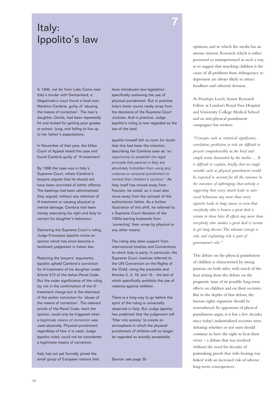# **<sup>7</sup>** Italy: Ippolito's law

In 1995, not far from Lake Como near Italy's border with Switzerland, a Magistrate's court found a local man, Natalino Cambria, guilty of 'abusing the means of correction'. The man's daughter, Danila, had been repeatedly hit and kicked for getting poor grades at school, lying, and failing to live up to her father's expectations.

In November of that year, the Milan Court of Appeal heard the case and found Cambria guilty of 'ill-treatment'.

By 1996 the case was in Italy's Supreme Court, where Cambria's lawyers argued that he should not have been convicted of either offence. The beatings had been administered, they argued, without any intention of ill-treatment or causing physical or mental damage; Cambria had been merely exercising his right and duty to correct his daughter's behaviour.

Delivering the Supreme Court's ruling, Judge Francesco Ippolito wrote an opinion which has since become a landmark judgement in Italian law.

Rejecting the lawyers' arguments, Ippolito upheld Cambria's conviction for ill-treatment of his daughter under Article 572 of the Italian Penal Code. But the wider significance of the ruling lay not in the confirmation of the illtreatment charge but in the dismissal of the earlier conviction for 'abuse of the means of correction'. The relevant article of the Penal Code, went the opinion, could only be triggered when a *legitimate means of correction* was used abusively. Physical punishment regardless of how it is used, Judge Ippolito ruled, could not be considered a legitimate means of correction.

Italy has not yet formally joined the small group of European nations that have introduced new legislation specifically outlawing the use of physical punishment. But in practice Italy's lower courts rarely stray from the decisions of the Supreme Court Justices. And in practice, Judge Ippolito's ruling is now regarded as the law of the land.

Ippolito himself left no room for doubt that this had been the intention, describing the Cambria case as *"an opportunity to establish the legal principle that parents in Italy are absolutely forbidden from using any violence or corporal punishment to correct their children's conduct."* As Italy itself has moved away from Fascism, he noted, so it must also move away from the concept of the authoritarian father. As a further illustration of this shift, he referred to a Supreme Court decision of the 1950s barring husbands from 'correcting' their wives by physical or any other means.

The ruling also drew support from international treaties and Conventions to which Italy is party. In particular, the Supreme Court Justices referred to the UN Convention on the Rights of the Child, citing the preamble and Articles 2, 3, 18, and 19 – the last of which specifically prohibits the use of violence against children.

There is a long way to go before the spirit of the ruling is universally observed in Italy. But Judge Ippolito has predicted that the judgement will 'filter into society' to create an atmosphere in which the physical punishment of children will no longer be regarded as socially acceptable.

Source: see page 35

opinions, and in which the media has an intense interest. Research which is either presented or misrepresented in such a way as to suggest that smacking children is the cause of all problems from delinquency to depression are always likely to attract headlines and editorial derision.

As Penelope Leach, Senior Research Fellow at London's Royal Free Hospital and University College Medical School and an anti-physical punishment campaigner has written:

*"Concepts such as statistical significance, correlation, prediction or risk are difficult to present comprehensibly in the brief and simple terms demanded by the media … It is difficult to explain, briefly, that no single variable such as physical punishment would be expected to account for all the variance in the outcomes of upbringing; that nobody is suggesting that every smack leads to antisocial behaviour any more than every cigarette leads to lung cancer, or even that everybody who is beaten a great deal is certain to show later ill effects any more than everybody who smokes a great deal is certain to get lung disease.The relevant concept is risk, and explaining risk is part of government's role."*

This debate on the physical punishment of children is characterised by strong passions on both sides, with much of the heat arising from the debate on the pragmatic issue of its possible long term effects on children and on their societies. But in the depths of that debate, the human rights argument should be remembered.As opponents of physical punishment argue, it is but a few decades since today's industrialized societies were debating whether or not men should continue to have the right to beat their wives – a debate that was resolved without the need for decades of painstaking proofs that wife-beating was linked with an increased risk of adverse long-term consequences.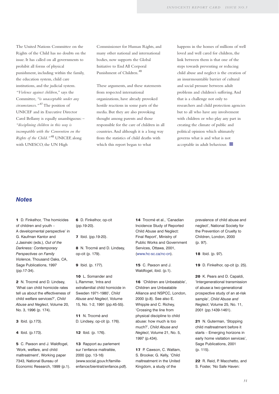The United Nations Committee on the Rights of the Child has no doubts on the issue. It has called on all governments to prohibit all forms of physical punishment, including within the family, the education system, child care institutions, and the judicial system. *"Violence against children,"* says the Committee, *"is unacceptable under any circumstances."* <sup>47</sup> The position of UNICEF and its Executive Director Carol Bellamy is equally unambiguous: – *"disciplining children in this way is incompatible with the Convention on the Rights of the Child."* <sup>48</sup> UNICEF, along with UNESCO, the UN High

Commissioner for Human Rights, and many other national and international bodies, now supports the Global Initiative to End All Corporal Punishment of Children.<sup>49</sup>

These arguments, and these statements from respected international organizations, have already provoked hostile reactions in some parts of the media. But they are also provoking thought among parents and those responsible for the care of children in all countries.And although it is a long way from the statistics of child deaths with which this report began to what

happens in the homes of millions of well loved and well cared for children, the link between them is that one of the steps towards preventing or reducing child abuse and neglect is the creation of an insurmountable barrier of cultural and social pressure between adult problems and children's suffering.And that is a challenge not only to researchers and child protection agencies but to all who have any involvement with children or who play any part in creating the climate of public and political opinion which ultimately governs what is and what is not acceptable in adult behaviour.

#### *Notes*

**1** D. Finkelhor, 'The homicides of children and youth – A developmental perspective' in G. Kaufman Kantor and J.Jasinski (eds.), *Out of the Darkness: Contemporary Perspectives on Family Violence*, Thousand Oaks, CA, Sage Publications, 1997 (pp.17-34).

**2** N. Trocmé and D. Lindsey, 'What can child homicide rates tell us about the effectiveness of child welfare services?', *Child Abuse and Neglect*, Volume 20, No. 3, 1996 (p. 174).

**3** Ibid. (p.173).

**4** Ibid. (p.173).

**5** C. Paxson and J. Waldfogel, 'Work, welfare, and child maltreatment', Working paper 7343, National Bureau of Economic Research, 1999 (p.1). **6** D. Finkelhor, op-cit (pp.19-20).

**7** Ibid. (pp.19-20).

**8** N. Trocmé and D. Lindsey, op-cit (p. 179).

**9** Ibid. (p. 177).

**10** L. Somander and L.Rammer, 'Intra and extrafamilial child homicide in Sweden 1971-1980', *Child Abuse and Neglect*, Volume 15, No. 1-2, 1991 (pp.45-55).

**11** N. Trocmé and D. Lindsey, op-cit (p. 176).

**12** Ibid. (p. 176).

**13** Rapport au parlement sur l'enfance maltraitée, 2000 (pp. 13-16) (www.social.gouv.fr/familleenfance/bientrait/enfance.pdf). **14** Trocmé et al., 'Canadian Incidence Study of Reported Child Abuse and Neglect: Final Report', Ministry of Public Works and Government Services, Ottawa, 2001, (www.hc-sc.ca/nc-cn).

**15** C. Paxson and J. Waldfogel, ibid. (p.1).

**16** 'Children are Unbeatable', Children are Unbeatable Alliance and NSPCC, London, 2000 (p.8). See also E. Whipple and C. Richey, 'Crossing the line from physical discipline to child abuse: how much is too much?', *Child Abuse and Neglect*, Volume 21, No. 5, 1997 (p.434).

**17** P. Cawson, C. Wattam, S. Brooker, G. Kelly, 'Child maltreatment in the United Kingdom, a study of the

prevalence of child abuse and neglect', National Society for the Prevention of Cruelty to Children, London, 2000 (p. 97).

**18** Ibid. (p. 97).

**19** D. Finkelhor, op-cit (p. 25).

**20** K. Pears and D. Capaldi, 'Intergenerational transmission of abuse:a two-generational prospective study of an at-risk sample', *Child Abuse and Neglect*, Volume 25, No. 11, 2001 (pp.1439-1461).

**21** N. Guterman, 'Stopping child maltreatment before it starts – Emerging horizons in early home visitation services', Sage Publications, 2001 (p. 115).

**22** R. Reid, P. Macchetto, and S. Foster, 'No Safe Haven: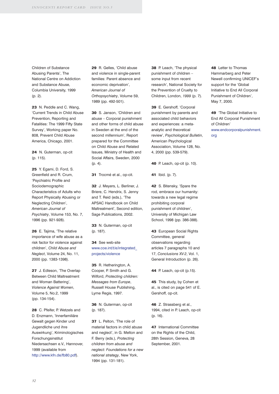Children of Substance Abusing Parents', The National Centre on Addiction and Substance Abuse, Columbia University, 1999 (p. 2).

**23** N. Peddle and C. Wang, 'Current Trends in Child Abuse Prevention, Reporting and Fatalities: The 1999 Fifty State Survey', Working paper No. 808, Prevent Child Abuse America, Chicago, 2001.

**24** N. Guterman, op-cit (p. 115).

**25** Y. Egami, D. Ford, S. Greenfield and R. Crum, 'Psychiatric Profile and Sociodemographic Characteristics of Adults who Report Physically Abusing or Neglecting Children', *American Journal of Psychiatry*, Volume 153, No. 7, 1996 (pp. 921-928).

**26** E. Tajima, 'The relative importance of wife abuse as a risk factor for violence against children', *Child Abuse and Neglect*, Volume 24, No. 11, 2000 (pp. 1383-1398).

**27** J. Edleson, 'The Overlap Between Child Maltreatment and Woman Battering', *Violence Against Women*, Volume 5, No.2, 1999 (pp. 134-154).

28 C. Pfeifer, P. Wetzels and D. Enzmann, 'Innerfamiliäre Gewalt gegen Kinder und Jugendliche und ihre Auswirkung', Kriminologisches Forschungsinstitut Niedersachsen e.V., Hannover, 1999 (available from http://www.kfn.de/fb80.pdf).

**29** R. Gelles, 'Child abuse and violence in single-parent families: Parent absence and economic deprivation', *American Journal of Orthopsychiatry*, Volume 59, 1989 (pp. 492-501).

**30** S. Janson, 'Children and abuse – Corporal punishment and other forms of child abuse in Sweden at the end of the second millennium', Report prepared for the Committee on Child Abuse and Related Issues, Ministry of Health and Social Affairs, Sweden, 2000 (p. 4).

**31** Trocmé et al., op-cit.

**32** J. Meyers, L. Berliner, J. Briere, C. Hendrix, S. Jenny and T. Reid (eds.), 'The APSAC Handbook on Child Maltreatment', Second edition, Sage Publications, 2002.

**33** N. Guterman, op-cit (p. 187).

**34** See web-site www.coe.int/t/e/integrated\_ projects/violence

**35** R. Hetherington, A. Cooper, P. Smith and G. Wilford, *Protecting children: Messages from Europe*, Russell House Publishing, Lyme Regis, 1997.

**36** N. Guterman, op-cit (p. 187).

**37** L. Pelton, 'The role of material factors in child abuse and neglect', in G. Melton and F. Berry (eds.), *Protecting children from abuse and neglect: Foundations for a new national strategy*, New York, 1994 (pp. 131-181).

**38** P. Leach, 'The physical punishment of children – some input from recent research', National Society for the Prevention of Cruelty to Children, London, *1999* (p. 7).

**39** E. Gershoff, 'Corporal punishment by parents and associated child behaviors and experiences: a metaanalytic and theoretical review', *Psychological Bulletin*, American Psychological Association, Volume 128, No. 4, 2000 (pp. 539-579).

**40** P. Leach, op-cit (p. 10).

**41** Ibid. (p. 7).

**42** S. Bitensky, 'Spare the rod, embrace our humanity: towards a new legal regime prohibiting corporal punishment of children', University of Michigan Law School, 1998 (pp. 386-388).

**43** European Social Rights Committee, general observations regarding articles 7 paragraphs 10 and 17, *Conclusions XV-2*, Vol. 1, General Introduction (p. 26).

**44** P. Leach, op-cit (p.15).

**45** This study, by Cohen et al., is cited on page 541 of E. Gershoff, op-cit.

**46** Z. Strassberg et al., 1994, cited in P. Leach, op-cit (p. 16).

**47** International Committee on the Rights of the Child, 28th Session, Geneva, 28 September, 2001.

**48** Letter to Thomas Hammarberg and Peter Newell confirming UNICEF's support for the 'Global Initiative to End All Corporal Punishment of Children', May 7, 2000.

**49** 'The Global Initiative to End All Corporal Punishment of Children' www.endcorporalpunishment. org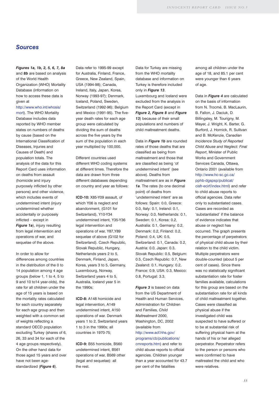#### *Sources*

#### *Figures 1a, 1b, 2, 5, 6, 7, 8a*

and *8b* are based on analysis of the World Health Organization (WHO) Mortality Database (information on how to access these data is given at

#### http://www.who.int/whosis/

mort). The WHO Mortality Database includes data reported by WHO member states on numbers of deaths by cause (based on the International Classification of Diseases, Injuries and Causes of Death) and population totals. The analysis of the data for this Report Card uses information on deaths from assault (homicide and injury purposely inflicted by other persons) and other violence, which includes events of undetermined intent (injury undetermined whether accidentally or purposely inflicted – except in *Figure 1a*), injury resulting from legal intervention and operations of war, and sequelae of the above.

In order to allow for differences among countries in the distribution of the 0 to 14 population among 4 age groups (below 1, 1 to 4, 5 to 9 and 10 to14 year-olds), the rate for all children under the age of 15 years is based on the mortality rates calculated for each country separately for each age group and then weighted with a common set of weights reflecting a standard OECD population excluding Turkey (shares of 6, 26, 33 and 34 for each of the 4 age groups respectively). On the other hand data for those aged 15 years and over have not been agestandardized (*Figure 6*).

Data refer to 1995-99 except for Australia, Finland, France, Greece, New Zealand, Spain, USA (1994-98); Canada, Ireland, Italy, Japan, Korea, Norway (1993-97); Denmark, Iceland, Poland, Sweden, Switzerland (1992-96); Belgium and Mexico (1991-95). The fiveyear death rates for each age group were calculated by dividing the sum of deaths across the five years by the sum of the population in each year multiplied by 100,000.

Different countries used different WHO coding systems at different times. Therefore the data are drawn from three different databases depending on country and year as follows:

**ICD-10:** X85-Y09 assault, of which Y06 is neglect and abandonment, (G101 for Switzerland), Y10-Y34 undetermined intent, Y35-Y36 legal intervention and operations of war, Y87,Y89 sequelae of above (G102 for Switzerland). Czech Republic, Slovak Republic, Hungary, Netherlands years 2 to 5, Denmark, Finland, Japan, Korea, years 3 to 5, Germany, Luxembourg, Norway, Switzerland years 4 to 5, Australia, Iceland year 5 in the 1990s;

**ICD-8:** A148 homicide and legal intervention, A149 undetermined intent, A150 operations of war. Denmark years 1 to 2, Switzerland years 1 to 3 in the 1990s; all countries in 1970-75;

**ICD-9:** B55 homicide, B560 undetermined intent, B561 operations of war, B569 other (legal and sequelae): all the rest.

Data for Turkey are missing from the WHO mortality database and information on Turkey is therefore included only in *Figure 13*. Luxembourg and Iceland were

excluded from the analysis in the Report Card (except in *Figure 2, Figure 8* and *Figure 13*) because of their small populations and numbers of child maltreatment deaths.

Data in *Figure 1b* are rounded rates of those deaths that are classified as being from maltreatment and those that are classified as being 'of undetermined intent' (see above). Deaths from maltreatment are as in *Figure 1a*. The rates (to one decimal point) of deaths from 'undetermined intent' are as follows: Spain: 0.0, Greece: 0.0, Italy: 0.1, Ireland: 0.1, Norway: 0.0, Netherlands: 0.1, Sweden: 0.1, Korea: 0.2, Australia: 0.1, Germany: 0.2, Denmark: 0.2, Finland: 0.2, Poland: 0.4, UK: 0.5, Switzerland: 0.1, Canada: 0.2, Austria: 0.0, Japan: 0.3, Slovak Republic: 0.5, Belgium: 0.5, Czech Republic: 0.7, New Zealand: 0.1, Hungary: 0.2, France: 0.9, USA: 0.3, Mexico: 0.8, Portugal: 3.3.

*Figure 3* is based on data from the US Department of Health and Human Services, Administration for Children and Families, *Child Maltreatment 2000*, Washington, DC, 2002 (available from http://www.acf.hhs.gov/ programs/cb/publications/ cmreports.htm) and refer to child abuse reports to official agencies. Children younger than a year accounted for 43.7

per cent of the fatalities

among all children under the age of 18, and 85.1 per cent were younger than 6 years of age.

Data in *Figure 4* are calculated on the basis of information from N. Trocmé, B. MacLaurin, B. Fallon, J. Daciuk, D. Billingsley, M. Tourigny, M. Mayer, J. Wright, K. Barter, G. Burford, J. Hornick, R. Sullivan and B. McKenzie, *Canadian Incidence Study of Reported Child Abuse and Neglect: Final Report*, Minister of Public Works and Government Services Canada, Ottawa, Ontario 2001 (available from http://www.hc-sc.gc.ca/ pphb-dgspsp/publicat/ cisfr-ecirf/index.html) and refer to child abuse reports to official agencies. Data refer only to substantiated cases. Cases are recorded as 'substantiated' if the balance of evidence indicates that abuse or neglect has occurred. The graph presents the percentage of perpetrators of physical child abuse by their relation to the child victim. Multiple perpetrators were double-counted (about 5 per cent of cases). Since there was no statistically significant substantiation rate for foster families available, calculations for this group are based on the substantiation rate for all kinds of child maltreatment together. Cases were classified as physical abuse if the investigated child was suspected to have suffered or to be at substantial risk of suffering physical harm at the hands of his or her alleged perpetrator. Perpetrator refers to the person or persons who were confirmed to have maltreated the child and who were relatives.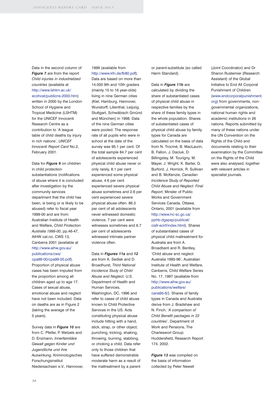Data in the second column of *Figure 7* are from the report *Child injuries in industrialized countries* (available at http://www.lshtm.ac.uk/ ecohost/publicns-2000.htm) written in 2000 by the London

School of Hygiene and Tropical Medicine (LSHTM) for the UNICEF Innocenti Research Centre as a contribution to 'A league table of child deaths by injury in rich nations', *UNICEF Innocenti Report Card* No.2, February 2001.

Data for *Figure 9* on children in child protection substantiations (notifications of abuse where it is concluded after investigation by the community services department that the child has been, is being or is likely to be abused) refer to fiscal year 1999-00 and are from: Australian Institute of Health and Welfare, *Child Protection Australia 1999-00*, pp.46-47, AIHW cat.no. CWS 13, Canberra 2001 (available at http://www.aihw.gov.au/ publications/cws/

cpa99-00/cpa99-00.pdf). Proportion of physical abuse cases has been imputed from the proportion among all children aged up to age 17. Cases of sexual abuse, emotional abuse and neglect have not been included. Data on deaths are as in Figure 2 (taking the average of the 5 years).

Survey data in *Figure 10* are from C. Pfeifer, P. Wetzels and D. Enzmann, *Innerfamiliäre Gewalt gegen Kinder und Jugendliche und ihre Auswirkung*, Kriminologisches Forschungsinstitut Niedersachsen e.V., Hannover,

#### 1999 (available from http://www.kfn.de/fb80.pdf).

Data are based on more than 14.000 9th and 10th graders (mainly 15 to 16 year-olds) living in nine German cities (Kiel, Hamburg, Hannover, Wunstorff, Lilienthal, Leipzig, Stuttgart, Schwäbisch Gmünd and München) in 1998. Data of the nine German cities were pooled. The response rate of all pupils who were in school at the date of the survey was 95.1 per cent. Of the total sample 84.7 per cent of adolescents experienced physical child abuse never or only rarely, 8.1 per cent experienced some physical abuse, 4.6 per cent experienced severe physical abuse sometimes and 2.6 per cent experienced severe physical abuse often. 86.3 per cent of all adolescents never witnessed domestic violence, 7 per cent were witnesses sometimes and 6.7 per cent of adolescents witnessed intimate partner violence often.

Data in *Figures 11a* and *12* are from A. Sedlak and D. Broadhurst, *Third National Incidence Study of Child Abuse and Neglect*, U.S. Department of Health and Human Services, Washington, DC, 1996 and refer to cases of child abuse known to Child Protective Services in the US. Acts constituting physical abuse include hitting with a hand, stick, strap, or other object; punching, kicking, shaking, throwing, burning, stabbing, or choking a child. Data refer only to those children that have suffered demonstrable moderate harm as a result of the maltreatment by a parent

or parent-substitute (so called Harm Standard).

Data in *Figure 11b* are calculated by dividing the share of substantiated cases of physical child abuse in respective families by the share of these family types in the whole population. Shares of substantiated cases of physical child abuse by family types for Canada are calculated on the basis of data from N. Trocmé, B. MacLaurin, B. Fallon, J. Daciuk, D. Billingsley, M. Tourigny, M. Mayer, J. Wright, K. Barter, G. Burford, J. Hornick, R. Sullivan and B. McKenzie, *Canadian Incidence Study of Reported Child Abuse and Neglect: Final Report*, Minster of Public Works and Government Services Canada, Ottawa, Ontario, 2001 (available from http://www.hc-sc.gc.ca/ pphb-dgspsp/publicat/ cisfr-ecirf/index.html). Shares of substantiated cases of physical child maltreatment for Australia are from A. Broadbent and R. Bentley, 'Child abuse and neglect Australia 1995-96', Australian Institute of Health and Welfare, Canberra, Child Welfare Series No. 17, 1997 (available from http://www.aihw.gov.au/ publications/welfare/ cana95-6/). Shares of family types in Canada and Australia derive from J. Bradshaw and N. Finch, '*A comparison of Child Benefit packages in 22*

*countries*', Department of Work and Pensions, The Charleswort Group:

174, 2002.

Huddersfield, Research Report

*Figure 13* was compiled on the basis of information collected by Peter Newell

(Joint Coordinator) and Dr Sharon Rustemier (Research Assistant) of the Global Initiative to End All Corporal Punishment of Children (www.endcorporalpunishment. org) from governments, nongovernmental organizations, national human rights and academic institutions in 26 nations. Reports submitted by many of these nations under the UN Convention on the Rights of the Child and documents relating to their examination by the Committee on the Rights of the Child were also analysed, together with relevant articles in specialist journals.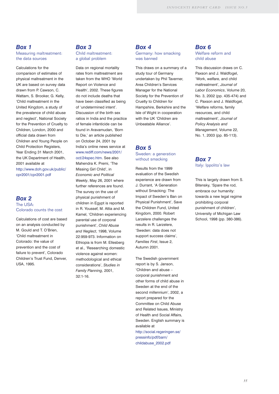#### *Box 1*

Measuring maltreatment: the data sources

Calculations for the comparison of estimates of physical maltreatment in the UK are based on survey data drawn from P. Cawson, C. Wattam, S. Brooker, G. Kelly, 'Child maltreatment in the United Kingdom, a study of the prevalence of child abuse and neglect', National Society for the Prevention of Cruelty to Children, London, 2000 and official data drawn from Children and Young People on Child Protection Registers, Year Ending 31 March 2001, the UK Department of Health, 2001 available at http://www.doh.gov.uk/public/ cpr2001/cpr2001.pdf

#### *Box 2* The USA: Colorado counts the cost

Calculations of cost are based on an analysis conducted by M. Gould and T. O'Brien, 'Child maltreatment in Colorado: the value of prevention and the cost of failure to prevent', Colorado Children's Trust Fund, Denver, USA, 1995.

#### *Box 3*

Child maltreatment: a global problem

Data on regional mortality rates from maltreatment are taken from the WHO 'World Report on Violence and Health', 2002. These figures do not include deaths that have been classified as being of 'undetermined intent'. Discussion of the birth sex ratios in India and the practice of female infanticide can be found in Aravamudan, 'Born to Die,' an article published on October 24, 2001 by India's online news service at www.rediff.com/news/2001/ oct/24spec.htm. See also Mahendra K. Premi, 'The Missing Girl Child', in *Economic and Political Weekly*, May 26, 2001 where further references are found. The survey on the use of physical punishment of children in Egypt is reported

in R. Youssef, M. Attia and M. Kamel, 'Children experiencing parental use of corporal punishment', *Child Abuse and Neglect*, 1998, Volume 22:959-973. Information on Ethiopia is from M. Ellesberg et al., 'Researching domestic violence against women: methodological and ethical considerations', *Studies in Family Planning*, 2001, 32:1-16.

#### *Box 4*

Germany: how smacking was banned

This draws on a summary of a study tour of Germany undertaken by Phil Taverner, Area Children's Services Manager for the National Society for the Prevention of Cruelty to Children for Hampshire, Berkshire and the Isle of Wight in cooperation with the UK 'Children are Unbeatable Alliance'.

#### *Box 5*

Sweden: a generation without smacking

Results from the 1999 evaluation of the Swedish experience are drawn from J. Durrant, 'A Generation without Smacking: The Impact of Sweden's Ban on Physical Punishment', Save the Children Fund, United Kingdom, 2000. Robert Larzelere challenges the results in R. Larzelere, 'Sweden: data does not support success claims', *Families First*, Issue 2, Autumn 2001.

The Swedish government report is by S. Janson, 'Children and abuse – corporal punishment and other forms of child abuse in Sweden at the end of the second millennium', 2002, a report prepared for the Committee on Child Abuse and Related Issues, Ministry of Health and Social Affairs, Sweden. English summary is available at http://social.regeringen.se/ pressinfo/pdf/barn/ childabuse\_2002.pdf

#### *Box 6* Welfare reform and child abuse

This discussion draws on C. Paxson and J. Waldfogel, 'Work, welfare, and child maltreatment', *Journal of Labor Economics*, Volume 20, No. 3, 2002 (pp. 435-474) and C. Paxson and J. Waldfogel, 'Welfare reforms, family resources, and child maltreatment', *Journal of Policy Analysis and Management*, Volume 22, No. 1, 2003 (pp. 85-113).

#### *Box 7* Italy: Ippolito's law

This is largely drawn from S. Bitensky, 'Spare the rod, embrace our humanity: towards a new legal regime prohibiting corporal punishment of children', University of Michigan Law School, 1998 (pp. 380-386).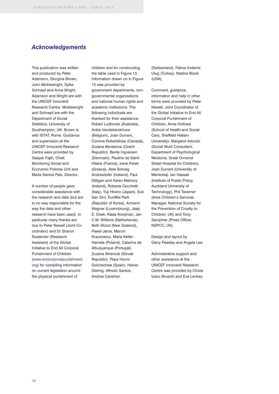#### *Acknowledgements*

This publication was written and produced by Peter Adamson, Giorgina Brown, John Micklewright, Sylke Schnepf and Anna Wright. Adamson and Wright are with the UNICEF Innocenti Research Centre. Micklewright and Schnepf are with the Department of Social Statistics, University of Southampton, UK. Brown is with ISTAT, Rome. Guidance and supervision at the UNICEF Innocenti Research Centre were provided by Gaspar Fajth, Chief, Monitoring Social and Economic Policies Unit and Marta Santos Pais, Director.

A number of people gave considerable assistance with the research and data (but are in no way responsible for the way the data and other research have been used). In particular many thanks are due to Peter Newell (Joint Coordinator) and Dr Sharon Rustemier (Research Assistant) of the Global Initiative to End All Corporal Punishment of Children

(www.endcorporalpunishment. org) for compiling information on current legislation around the physical punishment of

children and for constructing the table used in Figure 13. Information drawn on in Figure 13 was provided by government departments, nongovernmental organizations and national human rights and academic institutions. The following individuals are thanked for their assistance: Robert Ludbrook (Australia), Ankie Vandekerckhove (Belgium), Joan Durrant, Corinne Robertshaw (Canada), Zuzana Benesova (Czech Republic), Bente Ingvarsen (Denmark), Pauline de Saint-Hilaire (France), Irene Fereti (Greece), Asta Solveig Andresdottir (Iceland), Paul Gilligan and Karen Mahony (Ireland), Roberta Cecchetti (Italy), Yuji Hirano (Japan), Suk San Sim, EunMie Park (Republic of Korea), Armand Wagner (Luxembourg), Jaap E. Doek, Klaas Kooijman, Jan C.M. Willems (Netherlands), Beth Wood (New Zealand), Pawel Jaros, Marcin Krauzowicz, Maria Keller-Hamela (Poland), Catarina de Albuquerque (Portugal), Zuzana Alnerová (Slovak Republic), Pepa Horno Goicoechea (Spain), Heiner Diering, Alfredo Santos, Andrea Candrian

(Switzerland), Fatma Vzdemir Ulug (Turkey), Nadine Block (USA).

Comment, guidance, information and help in other forms were provided by Peter Newell, Joint Coordinator of the Global Initiative to End All Corporal Punishment of Children, Anne Hollows (School of Health and Social Care, Sheffield Hallam University), Margaret Adcock (Social Work Consultant, Department of Psychological Medicine, Great Ormond Street Hospital for Children), Joan Durrant (University of Manitoba), Ian Hassall (Institute of Public Policy, Auckland University of Technology), Phil Taverner (Area Children's Services Manager, National Society for the Prevention of Cruelty to Children, UK) and Tony Samphier (Press Officer, NSPCC, UK).

Design and layout by Garry Peasley and Angela Lee.

Administrative support and other assistance at the UNICEF Innocenti Research Centre was provided by Cinzia Iusco Bruschi and Eve Leckey.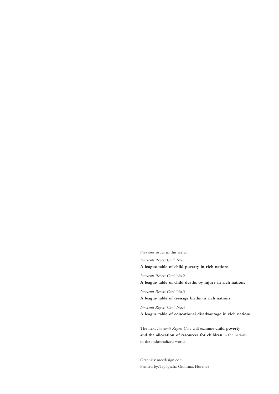Previous issues in this series:

*Innocenti Report Card*, No.1

#### **A league table of child poverty in rich nations**

*Innocenti Report Card*, No.2

**A league table of child deaths by injury in rich nations**

*Innocenti Report Card*, No.3

**A league table of teenage births in rich nations**

*Innocenti Report Card*, No.4

**A league table of educational disadvantage in rich nations**

The next *Innocenti Report Card* will examine **child poverty and the allocation of resources for children** in the nations of the industrialized world.

Graphics: mccdesign.com Printed by:Tipografia Giuntina, Florence